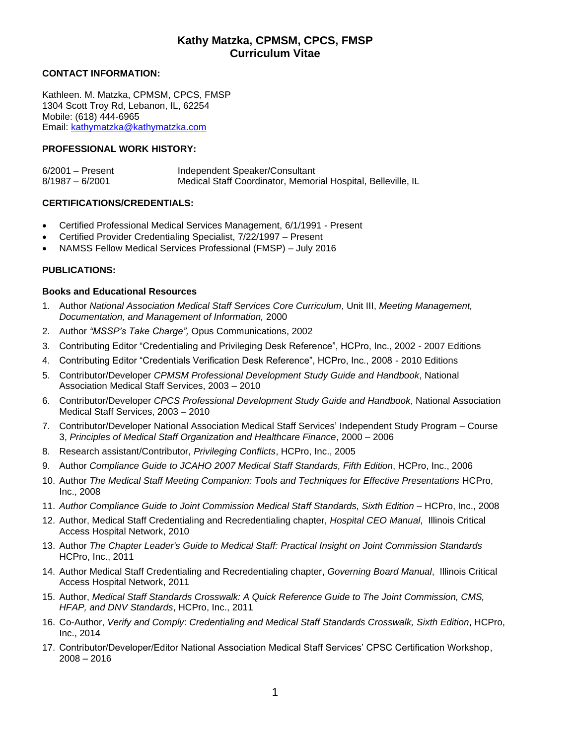#### **CONTACT INFORMATION:**

Kathleen. M. Matzka, CPMSM, CPCS, FMSP 1304 Scott Troy Rd, Lebanon, IL, 62254 Mobile: (618) 444-6965 Email: [kathymatzka@kathymatzka.com](mailto:kathymatzka@kathymatzka.com)

#### **PROFESSIONAL WORK HISTORY:**

| $6/2001$ - Present | Independent Speaker/Consultant                               |
|--------------------|--------------------------------------------------------------|
| $8/1987 - 6/2001$  | Medical Staff Coordinator, Memorial Hospital, Belleville, IL |

#### **CERTIFICATIONS/CREDENTIALS:**

- Certified Professional Medical Services Management, 6/1/1991 Present
- Certified Provider Credentialing Specialist, 7/22/1997 Present
- NAMSS Fellow Medical Services Professional (FMSP) July 2016

#### **PUBLICATIONS:**

#### **Books and Educational Resources**

- 1. Author *National Association Medical Staff Services Core Curriculum*, Unit III, *Meeting Management, Documentation, and Management of Information,* 2000
- 2. Author *"MSSP's Take Charge",* Opus Communications, 2002
- 3. Contributing Editor "Credentialing and Privileging Desk Reference", HCPro, Inc., 2002 2007 Editions
- 4. Contributing Editor "Credentials Verification Desk Reference", HCPro, Inc., 2008 2010 Editions
- 5. Contributor/Developer *CPMSM Professional Development Study Guide and Handbook*, National Association Medical Staff Services, 2003 – 2010
- 6. Contributor/Developer *CPCS Professional Development Study Guide and Handbook*, National Association Medical Staff Services, 2003 – 2010
- 7. Contributor/Developer National Association Medical Staff Services' Independent Study Program Course 3, *Principles of Medical Staff Organization and Healthcare Finance*, 2000 – 2006
- 8. Research assistant/Contributor, *Privileging Conflicts*, HCPro, Inc., 2005
- 9. Author *Compliance Guide to JCAHO 2007 Medical Staff Standards, Fifth Edition*, HCPro, Inc., 2006
- 10. Author *The Medical Staff Meeting Companion: Tools and Techniques for Effective Presentations* HCPro, Inc., 2008
- 11. *Author Compliance Guide to Joint Commission Medical Staff Standards, Sixth Edition* HCPro, Inc., 2008
- 12. Author, Medical Staff Credentialing and Recredentialing chapter, *Hospital CEO Manual*, Illinois Critical Access Hospital Network, 2010
- 13. Author *The Chapter Leader's Guide to Medical Staff: Practical Insight on Joint Commission Standards* HCPro, Inc., 2011
- 14. Author Medical Staff Credentialing and Recredentialing chapter, *Governing Board Manual*, Illinois Critical Access Hospital Network, 2011
- 15. Author, *Medical Staff Standards Crosswalk: A Quick Reference Guide to The Joint Commission, CMS, HFAP, and DNV Standards*, HCPro, Inc., 2011
- 16. Co-Author, *Verify and Comply*: *Credentialing and Medical Staff Standards Crosswalk, Sixth Edition*, HCPro, Inc., 2014
- 17. Contributor/Developer/Editor National Association Medical Staff Services' CPSC Certification Workshop, 2008 – 2016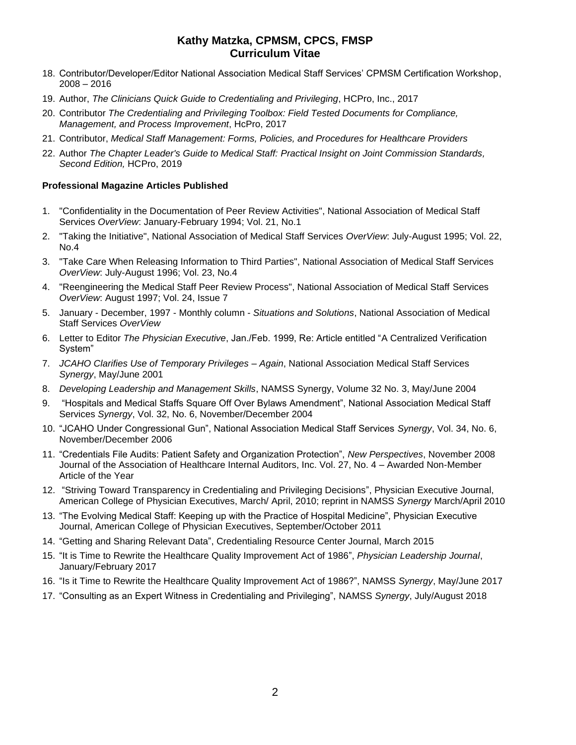- 18. Contributor/Developer/Editor National Association Medical Staff Services' CPMSM Certification Workshop, 2008 – 2016
- 19. Author, *The Clinicians Quick Guide to Credentialing and Privileging*, HCPro, Inc., 2017
- 20. Contributor *The Credentialing and Privileging Toolbox: Field Tested Documents for Compliance, Management, and Process Improvement*, HcPro, 2017
- 21. Contributor, *Medical Staff Management: Forms, Policies, and Procedures for Healthcare Providers*
- 22. Author *The Chapter Leader's Guide to Medical Staff: Practical Insight on Joint Commission Standards, Second Edition,* HCPro, 2019

#### **Professional Magazine Articles Published**

- 1. "Confidentiality in the Documentation of Peer Review Activities", National Association of Medical Staff Services *OverView*: January-February 1994; Vol. 21, No.1
- 2. "Taking the Initiative", National Association of Medical Staff Services *OverView*: July-August 1995; Vol. 22, No.4
- 3. "Take Care When Releasing Information to Third Parties", National Association of Medical Staff Services *OverView*: July-August 1996; Vol. 23, No.4
- 4. "Reengineering the Medical Staff Peer Review Process", National Association of Medical Staff Services *OverView*: August 1997; Vol. 24, Issue 7
- 5. January December, 1997 Monthly column *Situations and Solutions*, National Association of Medical Staff Services *OverView*
- 6. Letter to Editor *The Physician Executive*, Jan./Feb. 1999, Re: Article entitled "A Centralized Verification System"
- 7. *JCAHO Clarifies Use of Temporary Privileges – Again*, National Association Medical Staff Services *Synergy*, May/June 2001
- 8. *Developing Leadership and Management Skills*, NAMSS Synergy, Volume 32 No. 3, May/June 2004
- 9. "Hospitals and Medical Staffs Square Off Over Bylaws Amendment", National Association Medical Staff Services *Synergy*, Vol. 32, No. 6, November/December 2004
- 10. "JCAHO Under Congressional Gun", National Association Medical Staff Services *Synergy*, Vol. 34, No. 6, November/December 2006
- 11. "Credentials File Audits: Patient Safety and Organization Protection", *New Perspectives*, November 2008 Journal of the Association of Healthcare Internal Auditors, Inc. Vol. 27, No. 4 – Awarded Non-Member Article of the Year
- 12. "Striving Toward Transparency in Credentialing and Privileging Decisions", Physician Executive Journal, American College of Physician Executives, March/ April, 2010; reprint in NAMSS *Synergy* March/April 2010
- 13. "The Evolving Medical Staff: Keeping up with the Practice of Hospital Medicine", Physician Executive Journal, American College of Physician Executives, September/October 2011
- 14. "Getting and Sharing Relevant Data", Credentialing Resource Center Journal, March 2015
- 15. "It is Time to Rewrite the Healthcare Quality Improvement Act of 1986", *Physician Leadership Journal*, January/February 2017
- 16. "Is it Time to Rewrite the Healthcare Quality Improvement Act of 1986?", NAMSS *Synergy*, May/June 2017
- 17. "Consulting as an Expert Witness in Credentialing and Privileging", NAMSS *Synergy*, July/August 2018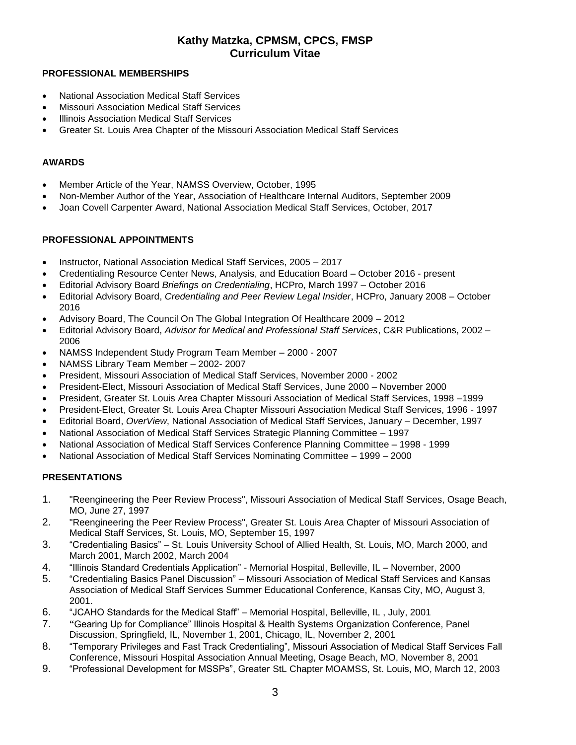#### **PROFESSIONAL MEMBERSHIPS**

- National Association Medical Staff Services
- Missouri Association Medical Staff Services
- **Illinois Association Medical Staff Services**
- Greater St. Louis Area Chapter of the Missouri Association Medical Staff Services

#### **AWARDS**

- Member Article of the Year, NAMSS Overview, October, 1995
- Non-Member Author of the Year, Association of Healthcare Internal Auditors, September 2009
- Joan Covell Carpenter Award, National Association Medical Staff Services, October, 2017

#### **PROFESSIONAL APPOINTMENTS**

- Instructor, National Association Medical Staff Services, 2005 2017
- Credentialing Resource Center News, Analysis, and Education Board October 2016 present
- Editorial Advisory Board *Briefings on Credentialing*, HCPro, March 1997 October 2016
- Editorial Advisory Board, *Credentialing and Peer Review Legal Insider*, HCPro, January 2008 October 2016
- Advisory Board, The Council On The Global Integration Of Healthcare 2009 2012
- Editorial Advisory Board, *Advisor for Medical and Professional Staff Services*, C&R Publications, 2002 2006
- NAMSS Independent Study Program Team Member 2000 2007
- NAMSS Library Team Member 2002- 2007
- President, Missouri Association of Medical Staff Services, November 2000 2002
- President-Elect, Missouri Association of Medical Staff Services, June 2000 November 2000
- President, Greater St. Louis Area Chapter Missouri Association of Medical Staff Services, 1998 –1999
- President-Elect, Greater St. Louis Area Chapter Missouri Association Medical Staff Services, 1996 1997
- Editorial Board, *OverView*, National Association of Medical Staff Services, January December, 1997
- National Association of Medical Staff Services Strategic Planning Committee 1997
- National Association of Medical Staff Services Conference Planning Committee 1998 1999
- National Association of Medical Staff Services Nominating Committee 1999 2000

#### **PRESENTATIONS**

- 1. "Reengineering the Peer Review Process", Missouri Association of Medical Staff Services, Osage Beach, MO, June 27, 1997
- 2. "Reengineering the Peer Review Process", Greater St. Louis Area Chapter of Missouri Association of Medical Staff Services, St. Louis, MO, September 15, 1997
- 3. "Credentialing Basics" St. Louis University School of Allied Health, St. Louis, MO, March 2000, and March 2001, March 2002, March 2004
- 4. "Illinois Standard Credentials Application" Memorial Hospital, Belleville, IL November, 2000
- 5. "Credentialing Basics Panel Discussion" Missouri Association of Medical Staff Services and Kansas Association of Medical Staff Services Summer Educational Conference, Kansas City, MO, August 3, 2001.
- 6. "JCAHO Standards for the Medical Staff" Memorial Hospital, Belleville, IL , July, 2001
- 7. **"**Gearing Up for Compliance" Illinois Hospital & Health Systems Organization Conference, Panel Discussion, Springfield, IL, November 1, 2001, Chicago, IL, November 2, 2001
- 8. "Temporary Privileges and Fast Track Credentialing", Missouri Association of Medical Staff Services Fall Conference, Missouri Hospital Association Annual Meeting, Osage Beach, MO, November 8, 2001
- 9. "Professional Development for MSSPs", Greater StL Chapter MOAMSS, St. Louis, MO, March 12, 2003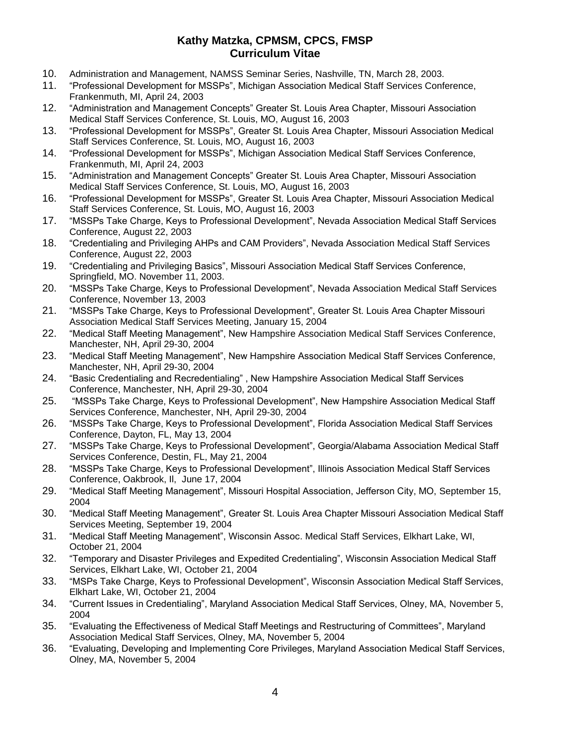- 10. Administration and Management, NAMSS Seminar Series, Nashville, TN, March 28, 2003.
- 11. "Professional Development for MSSPs", Michigan Association Medical Staff Services Conference, Frankenmuth, MI, April 24, 2003
- 12. "Administration and Management Concepts" Greater St. Louis Area Chapter, Missouri Association Medical Staff Services Conference, St. Louis, MO, August 16, 2003
- 13. "Professional Development for MSSPs", Greater St. Louis Area Chapter, Missouri Association Medical Staff Services Conference, St. Louis, MO, August 16, 2003
- 14. "Professional Development for MSSPs", Michigan Association Medical Staff Services Conference, Frankenmuth, MI, April 24, 2003
- 15. "Administration and Management Concepts" Greater St. Louis Area Chapter, Missouri Association Medical Staff Services Conference, St. Louis, MO, August 16, 2003
- 16. "Professional Development for MSSPs", Greater St. Louis Area Chapter, Missouri Association Medical Staff Services Conference, St. Louis, MO, August 16, 2003
- 17. "MSSPs Take Charge, Keys to Professional Development", Nevada Association Medical Staff Services Conference, August 22, 2003
- 18. "Credentialing and Privileging AHPs and CAM Providers", Nevada Association Medical Staff Services Conference, August 22, 2003
- 19. "Credentialing and Privileging Basics", Missouri Association Medical Staff Services Conference, Springfield, MO. November 11, 2003.
- 20. "MSSPs Take Charge, Keys to Professional Development", Nevada Association Medical Staff Services Conference, November 13, 2003
- 21. "MSSPs Take Charge, Keys to Professional Development", Greater St. Louis Area Chapter Missouri Association Medical Staff Services Meeting, January 15, 2004
- 22. "Medical Staff Meeting Management", New Hampshire Association Medical Staff Services Conference, Manchester, NH, April 29-30, 2004
- 23. "Medical Staff Meeting Management", New Hampshire Association Medical Staff Services Conference, Manchester, NH, April 29-30, 2004
- 24. "Basic Credentialing and Recredentialing" , New Hampshire Association Medical Staff Services Conference, Manchester, NH, April 29-30, 2004
- 25. "MSSPs Take Charge, Keys to Professional Development", New Hampshire Association Medical Staff Services Conference, Manchester, NH, April 29-30, 2004
- 26. "MSSPs Take Charge, Keys to Professional Development", Florida Association Medical Staff Services Conference, Dayton, FL, May 13, 2004
- 27. "MSSPs Take Charge, Keys to Professional Development", Georgia/Alabama Association Medical Staff Services Conference, Destin, FL, May 21, 2004
- 28. "MSSPs Take Charge, Keys to Professional Development", Illinois Association Medical Staff Services Conference, Oakbrook, Il, June 17, 2004
- 29. "Medical Staff Meeting Management", Missouri Hospital Association, Jefferson City, MO, September 15, 2004
- 30. "Medical Staff Meeting Management", Greater St. Louis Area Chapter Missouri Association Medical Staff Services Meeting, September 19, 2004
- 31. "Medical Staff Meeting Management", Wisconsin Assoc. Medical Staff Services, Elkhart Lake, WI, October 21, 2004
- 32. "Temporary and Disaster Privileges and Expedited Credentialing", Wisconsin Association Medical Staff Services, Elkhart Lake, WI, October 21, 2004
- 33. "MSPs Take Charge, Keys to Professional Development", Wisconsin Association Medical Staff Services, Elkhart Lake, WI, October 21, 2004
- 34. "Current Issues in Credentialing", Maryland Association Medical Staff Services, Olney, MA, November 5, 2004
- 35. "Evaluating the Effectiveness of Medical Staff Meetings and Restructuring of Committees", Maryland Association Medical Staff Services, Olney, MA, November 5, 2004
- 36. "Evaluating, Developing and Implementing Core Privileges, Maryland Association Medical Staff Services, Olney, MA, November 5, 2004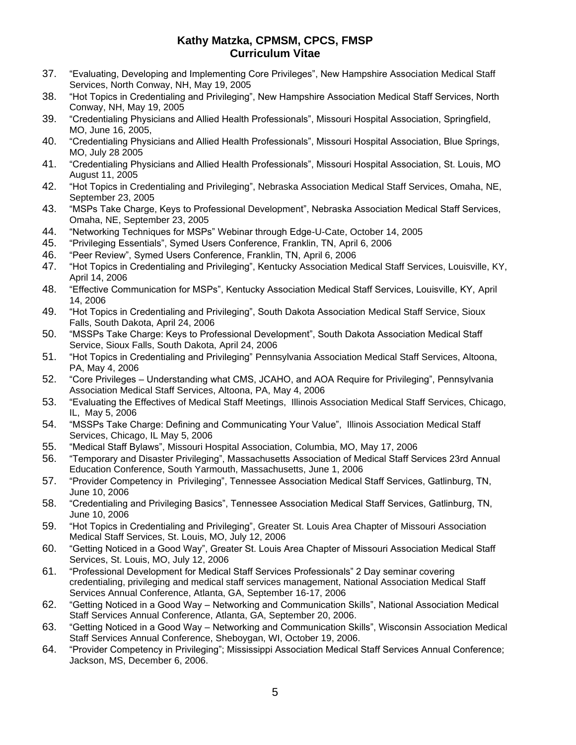- 37. "Evaluating, Developing and Implementing Core Privileges", New Hampshire Association Medical Staff Services, North Conway, NH, May 19, 2005
- 38. "Hot Topics in Credentialing and Privileging", New Hampshire Association Medical Staff Services, North Conway, NH, May 19, 2005
- 39. "Credentialing Physicians and Allied Health Professionals", Missouri Hospital Association, Springfield, MO, June 16, 2005,
- 40. "Credentialing Physicians and Allied Health Professionals", Missouri Hospital Association, Blue Springs, MO, July 28 2005
- 41. "Credentialing Physicians and Allied Health Professionals", Missouri Hospital Association, St. Louis, MO August 11, 2005
- 42. "Hot Topics in Credentialing and Privileging", Nebraska Association Medical Staff Services, Omaha, NE, September 23, 2005
- 43. "MSPs Take Charge, Keys to Professional Development", Nebraska Association Medical Staff Services, Omaha, NE, September 23, 2005
- 44. "Networking Techniques for MSPs" Webinar through Edge-U-Cate, October 14, 2005
- 45. "Privileging Essentials", Symed Users Conference, Franklin, TN, April 6, 2006
- 46. "Peer Review", Symed Users Conference, Franklin, TN, April 6, 2006
- 47. "Hot Topics in Credentialing and Privileging", Kentucky Association Medical Staff Services, Louisville, KY, April 14, 2006
- 48. "Effective Communication for MSPs", Kentucky Association Medical Staff Services, Louisville, KY, April 14, 2006
- 49. "Hot Topics in Credentialing and Privileging", South Dakota Association Medical Staff Service, Sioux Falls, South Dakota, April 24, 2006
- 50. "MSSPs Take Charge: Keys to Professional Development", South Dakota Association Medical Staff Service, Sioux Falls, South Dakota, April 24, 2006
- 51. "Hot Topics in Credentialing and Privileging" Pennsylvania Association Medical Staff Services, Altoona, PA, May 4, 2006
- 52. "Core Privileges Understanding what CMS, JCAHO, and AOA Require for Privileging", Pennsylvania Association Medical Staff Services, Altoona, PA, May 4, 2006
- 53. "Evaluating the Effectives of Medical Staff Meetings, Illinois Association Medical Staff Services, Chicago, IL, May 5, 2006
- 54. "MSSPs Take Charge: Defining and Communicating Your Value", Illinois Association Medical Staff Services, Chicago, IL May 5, 2006
- 55. "Medical Staff Bylaws", Missouri Hospital Association, Columbia, MO, May 17, 2006
- 56. "Temporary and Disaster Privileging", Massachusetts Association of Medical Staff Services 23rd Annual Education Conference, South Yarmouth, Massachusetts, June 1, 2006
- 57. "Provider Competency in Privileging", Tennessee Association Medical Staff Services, Gatlinburg, TN, June 10, 2006
- 58. "Credentialing and Privileging Basics", Tennessee Association Medical Staff Services, Gatlinburg, TN, June 10, 2006
- 59. "Hot Topics in Credentialing and Privileging", Greater St. Louis Area Chapter of Missouri Association Medical Staff Services, St. Louis, MO, July 12, 2006
- 60. "Getting Noticed in a Good Way", Greater St. Louis Area Chapter of Missouri Association Medical Staff Services, St. Louis, MO, July 12, 2006
- 61. "Professional Development for Medical Staff Services Professionals" 2 Day seminar covering credentialing, privileging and medical staff services management, National Association Medical Staff Services Annual Conference, Atlanta, GA, September 16-17, 2006
- 62. "Getting Noticed in a Good Way Networking and Communication Skills", National Association Medical Staff Services Annual Conference, Atlanta, GA, September 20, 2006.
- 63. "Getting Noticed in a Good Way Networking and Communication Skills", Wisconsin Association Medical Staff Services Annual Conference, Sheboygan, WI, October 19, 2006.
- 64. "Provider Competency in Privileging"; Mississippi Association Medical Staff Services Annual Conference; Jackson, MS, December 6, 2006.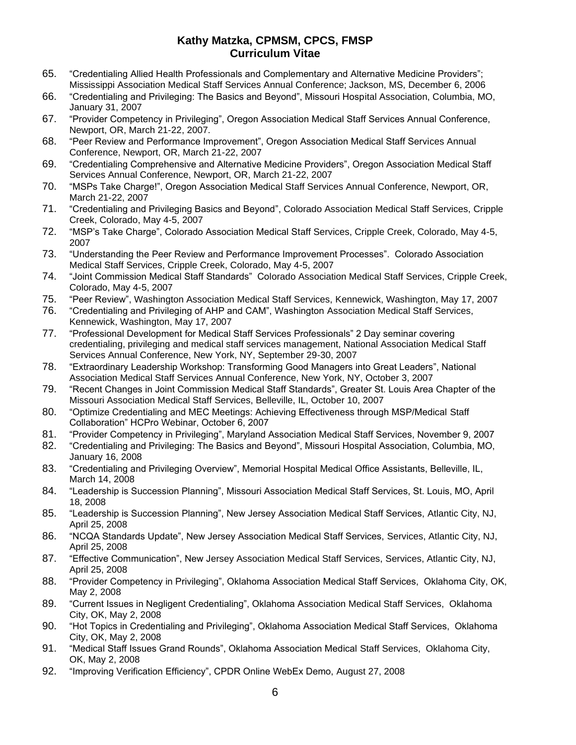- 65. "Credentialing Allied Health Professionals and Complementary and Alternative Medicine Providers"; Mississippi Association Medical Staff Services Annual Conference; Jackson, MS, December 6, 2006
- 66. "Credentialing and Privileging: The Basics and Beyond", Missouri Hospital Association, Columbia, MO, January 31, 2007
- 67. "Provider Competency in Privileging", Oregon Association Medical Staff Services Annual Conference, Newport, OR, March 21-22, 2007.
- 68. "Peer Review and Performance Improvement", Oregon Association Medical Staff Services Annual Conference, Newport, OR, March 21-22, 2007
- 69. "Credentialing Comprehensive and Alternative Medicine Providers", Oregon Association Medical Staff Services Annual Conference, Newport, OR, March 21-22, 2007
- 70. "MSPs Take Charge!", Oregon Association Medical Staff Services Annual Conference, Newport, OR, March 21-22, 2007
- 71. "Credentialing and Privileging Basics and Beyond", Colorado Association Medical Staff Services, Cripple Creek, Colorado, May 4-5, 2007
- 72. "MSP's Take Charge", Colorado Association Medical Staff Services, Cripple Creek, Colorado, May 4-5, 2007
- 73. "Understanding the Peer Review and Performance Improvement Processes". Colorado Association Medical Staff Services, Cripple Creek, Colorado, May 4-5, 2007
- 74. "Joint Commission Medical Staff Standards" Colorado Association Medical Staff Services, Cripple Creek, Colorado, May 4-5, 2007
- 75. "Peer Review", Washington Association Medical Staff Services, Kennewick, Washington, May 17, 2007
- 76. "Credentialing and Privileging of AHP and CAM", Washington Association Medical Staff Services, Kennewick, Washington, May 17, 2007
- 77. "Professional Development for Medical Staff Services Professionals" 2 Day seminar covering credentialing, privileging and medical staff services management, National Association Medical Staff Services Annual Conference, New York, NY, September 29-30, 2007
- 78. "Extraordinary Leadership Workshop: Transforming Good Managers into Great Leaders", National Association Medical Staff Services Annual Conference, New York, NY, October 3, 2007
- 79. "Recent Changes in Joint Commission Medical Staff Standards", Greater St. Louis Area Chapter of the Missouri Association Medical Staff Services, Belleville, IL, October 10, 2007
- 80. "Optimize Credentialing and MEC Meetings: Achieving Effectiveness through MSP/Medical Staff Collaboration" HCPro Webinar, October 6, 2007
- 81. "Provider Competency in Privileging", Maryland Association Medical Staff Services, November 9, 2007
- 82. "Credentialing and Privileging: The Basics and Beyond", Missouri Hospital Association, Columbia, MO, January 16, 2008
- 83. "Credentialing and Privileging Overview", Memorial Hospital Medical Office Assistants, Belleville, IL, March 14, 2008
- 84. "Leadership is Succession Planning", Missouri Association Medical Staff Services, St. Louis, MO, April 18, 2008
- 85. "Leadership is Succession Planning", New Jersey Association Medical Staff Services, Atlantic City, NJ, April 25, 2008
- 86. "NCQA Standards Update", New Jersey Association Medical Staff Services, Services, Atlantic City, NJ, April 25, 2008
- 87. "Effective Communication", New Jersey Association Medical Staff Services, Services, Atlantic City, NJ, April 25, 2008
- 88. "Provider Competency in Privileging", Oklahoma Association Medical Staff Services, Oklahoma City, OK, May 2, 2008
- 89. "Current Issues in Negligent Credentialing", Oklahoma Association Medical Staff Services, Oklahoma City, OK, May 2, 2008
- 90. "Hot Topics in Credentialing and Privileging", Oklahoma Association Medical Staff Services, Oklahoma City, OK, May 2, 2008
- 91. "Medical Staff Issues Grand Rounds", Oklahoma Association Medical Staff Services, Oklahoma City, OK, May 2, 2008
- 92. "Improving Verification Efficiency", CPDR Online WebEx Demo, August 27, 2008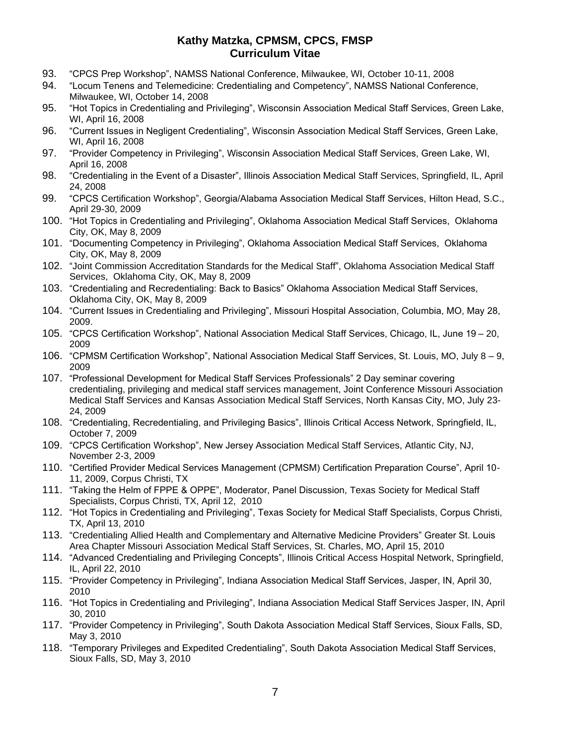- 93. "CPCS Prep Workshop", NAMSS National Conference, Milwaukee, WI, October 10-11, 2008
- 94. "Locum Tenens and Telemedicine: Credentialing and Competency", NAMSS National Conference, Milwaukee, WI, October 14, 2008
- 95. "Hot Topics in Credentialing and Privileging", Wisconsin Association Medical Staff Services, Green Lake, WI, April 16, 2008
- 96. "Current Issues in Negligent Credentialing", Wisconsin Association Medical Staff Services, Green Lake, WI, April 16, 2008
- 97. "Provider Competency in Privileging", Wisconsin Association Medical Staff Services, Green Lake, WI, April 16, 2008
- 98. "Credentialing in the Event of a Disaster", Illinois Association Medical Staff Services, Springfield, IL, April 24, 2008
- 99. "CPCS Certification Workshop", Georgia/Alabama Association Medical Staff Services, Hilton Head, S.C., April 29-30, 2009
- 100. "Hot Topics in Credentialing and Privileging", Oklahoma Association Medical Staff Services, Oklahoma City, OK, May 8, 2009
- 101. "Documenting Competency in Privileging", Oklahoma Association Medical Staff Services, Oklahoma City, OK, May 8, 2009
- 102. "Joint Commission Accreditation Standards for the Medical Staff", Oklahoma Association Medical Staff Services, Oklahoma City, OK, May 8, 2009
- 103. "Credentialing and Recredentialing: Back to Basics" Oklahoma Association Medical Staff Services, Oklahoma City, OK, May 8, 2009
- 104. "Current Issues in Credentialing and Privileging", Missouri Hospital Association, Columbia, MO, May 28, 2009.
- 105. "CPCS Certification Workshop", National Association Medical Staff Services, Chicago, IL, June 19 20, 2009
- 106. "CPMSM Certification Workshop", National Association Medical Staff Services, St. Louis, MO, July 8 9, 2009
- 107. "Professional Development for Medical Staff Services Professionals" 2 Day seminar covering credentialing, privileging and medical staff services management, Joint Conference Missouri Association Medical Staff Services and Kansas Association Medical Staff Services, North Kansas City, MO, July 23- 24, 2009
- 108. "Credentialing, Recredentialing, and Privileging Basics", Illinois Critical Access Network, Springfield, IL, October 7, 2009
- 109. "CPCS Certification Workshop", New Jersey Association Medical Staff Services, Atlantic City, NJ, November 2-3, 2009
- 110. "Certified Provider Medical Services Management (CPMSM) Certification Preparation Course", April 10- 11, 2009, Corpus Christi, TX
- 111. "Taking the Helm of FPPE & OPPE", Moderator, Panel Discussion, Texas Society for Medical Staff Specialists, Corpus Christi, TX, April 12, 2010
- 112. "Hot Topics in Credentialing and Privileging", Texas Society for Medical Staff Specialists, Corpus Christi, TX, April 13, 2010
- 113. "Credentialing Allied Health and Complementary and Alternative Medicine Providers" Greater St. Louis Area Chapter Missouri Association Medical Staff Services, St. Charles, MO, April 15, 2010
- 114. "Advanced Credentialing and Privileging Concepts", Illinois Critical Access Hospital Network, Springfield, IL, April 22, 2010
- 115. "Provider Competency in Privileging", Indiana Association Medical Staff Services, Jasper, IN, April 30, 2010
- 116. "Hot Topics in Credentialing and Privileging", Indiana Association Medical Staff Services Jasper, IN, April 30, 2010
- 117. "Provider Competency in Privileging", South Dakota Association Medical Staff Services, Sioux Falls, SD, May 3, 2010
- 118. "Temporary Privileges and Expedited Credentialing", South Dakota Association Medical Staff Services, Sioux Falls, SD, May 3, 2010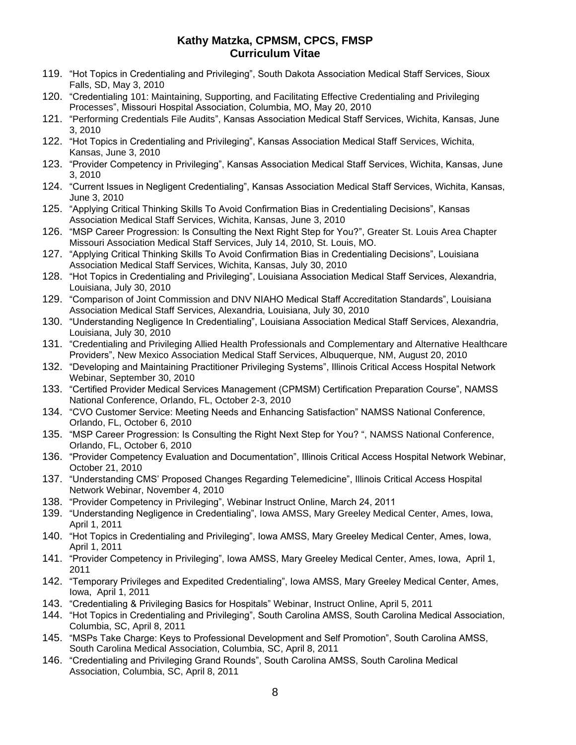- 119. "Hot Topics in Credentialing and Privileging", South Dakota Association Medical Staff Services, Sioux Falls, SD, May 3, 2010
- 120. "Credentialing 101: Maintaining, Supporting, and Facilitating Effective Credentialing and Privileging Processes", Missouri Hospital Association, Columbia, MO, May 20, 2010
- 121. "Performing Credentials File Audits", Kansas Association Medical Staff Services, Wichita, Kansas, June 3, 2010
- 122. "Hot Topics in Credentialing and Privileging", Kansas Association Medical Staff Services, Wichita, Kansas, June 3, 2010
- 123. "Provider Competency in Privileging", Kansas Association Medical Staff Services, Wichita, Kansas, June 3, 2010
- 124. "Current Issues in Negligent Credentialing", Kansas Association Medical Staff Services, Wichita, Kansas, June 3, 2010
- 125. "Applying Critical Thinking Skills To Avoid Confirmation Bias in Credentialing Decisions", Kansas Association Medical Staff Services, Wichita, Kansas, June 3, 2010
- 126. "MSP Career Progression: Is Consulting the Next Right Step for You?", Greater St. Louis Area Chapter Missouri Association Medical Staff Services, July 14, 2010, St. Louis, MO.
- 127. "Applying Critical Thinking Skills To Avoid Confirmation Bias in Credentialing Decisions", Louisiana Association Medical Staff Services, Wichita, Kansas, July 30, 2010
- 128. "Hot Topics in Credentialing and Privileging", Louisiana Association Medical Staff Services, Alexandria, Louisiana, July 30, 2010
- 129. "Comparison of Joint Commission and DNV NIAHO Medical Staff Accreditation Standards", Louisiana Association Medical Staff Services, Alexandria, Louisiana, July 30, 2010
- 130. "Understanding Negligence In Credentialing", Louisiana Association Medical Staff Services, Alexandria, Louisiana, July 30, 2010
- 131. "Credentialing and Privileging Allied Health Professionals and Complementary and Alternative Healthcare Providers", New Mexico Association Medical Staff Services, Albuquerque, NM, August 20, 2010
- 132. "Developing and Maintaining Practitioner Privileging Systems", Illinois Critical Access Hospital Network Webinar, September 30, 2010
- 133. "Certified Provider Medical Services Management (CPMSM) Certification Preparation Course", NAMSS National Conference, Orlando, FL, October 2-3, 2010
- 134. "CVO Customer Service: Meeting Needs and Enhancing Satisfaction" NAMSS National Conference, Orlando, FL, October 6, 2010
- 135. "MSP Career Progression: Is Consulting the Right Next Step for You? ", NAMSS National Conference, Orlando, FL, October 6, 2010
- 136. "Provider Competency Evaluation and Documentation", Illinois Critical Access Hospital Network Webinar, October 21, 2010
- 137. "Understanding CMS' Proposed Changes Regarding Telemedicine", Illinois Critical Access Hospital Network Webinar, November 4, 2010
- 138. "Provider Competency in Privileging", Webinar Instruct Online, March 24, 2011
- 139. "Understanding Negligence in Credentialing", Iowa AMSS, Mary Greeley Medical Center, Ames, Iowa, April 1, 2011
- 140. "Hot Topics in Credentialing and Privileging", Iowa AMSS, Mary Greeley Medical Center, Ames, Iowa, April 1, 2011
- 141. "Provider Competency in Privileging", Iowa AMSS, Mary Greeley Medical Center, Ames, Iowa, April 1, 2011
- 142. "Temporary Privileges and Expedited Credentialing", Iowa AMSS, Mary Greeley Medical Center, Ames, Iowa, April 1, 2011
- 143. "Credentialing & Privileging Basics for Hospitals" Webinar, Instruct Online, April 5, 2011
- 144. "Hot Topics in Credentialing and Privileging", South Carolina AMSS, South Carolina Medical Association, Columbia, SC, April 8, 2011
- 145. "MSPs Take Charge: Keys to Professional Development and Self Promotion", South Carolina AMSS, South Carolina Medical Association, Columbia, SC, April 8, 2011
- 146. "Credentialing and Privileging Grand Rounds", South Carolina AMSS, South Carolina Medical Association, Columbia, SC, April 8, 2011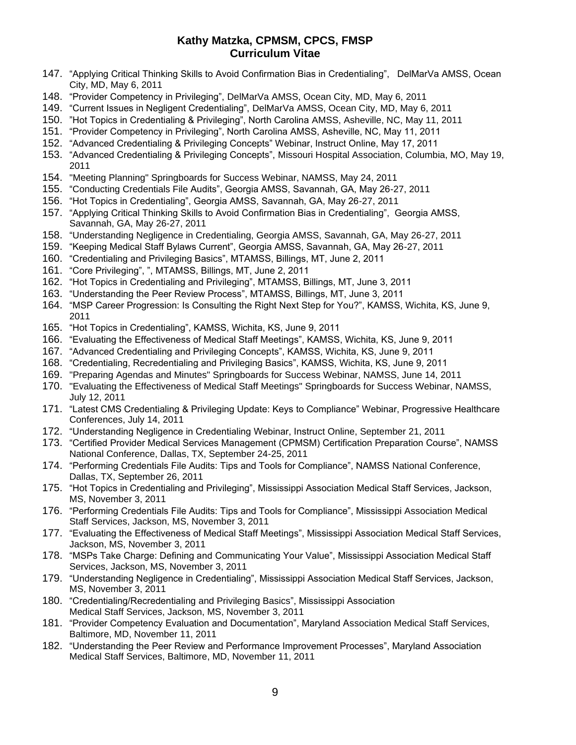- 147. "Applying Critical Thinking Skills to Avoid Confirmation Bias in Credentialing", DelMarVa AMSS, Ocean City, MD, May 6, 2011
- 148. "Provider Competency in Privileging", DelMarVa AMSS, Ocean City, MD, May 6, 2011
- 149. "Current Issues in Negligent Credentialing", DelMarVa AMSS, Ocean City, MD, May 6, 2011
- 150. "Hot Topics in Credentialing & Privileging", North Carolina AMSS, Asheville, NC, May 11, 2011
- 151. "Provider Competency in Privileging", North Carolina AMSS, Asheville, NC, May 11, 2011
- 152. "Advanced Credentialing & Privileging Concepts" Webinar, Instruct Online, May 17, 2011
- 153. "Advanced Credentialing & Privileging Concepts", Missouri Hospital Association, Columbia, MO, May 19, 2011
- 154. "Meeting Planning" Springboards for Success Webinar, NAMSS, May 24, 2011
- 155. "Conducting Credentials File Audits", Georgia AMSS, Savannah, GA, May 26-27, 2011
- 156. "Hot Topics in Credentialing", Georgia AMSS, Savannah, GA, May 26-27, 2011
- 157. "Applying Critical Thinking Skills to Avoid Confirmation Bias in Credentialing", Georgia AMSS, Savannah, GA, May 26-27, 2011
- 158. "Understanding Negligence in Credentialing, Georgia AMSS, Savannah, GA, May 26-27, 2011
- 159. "Keeping Medical Staff Bylaws Current", Georgia AMSS, Savannah, GA, May 26-27, 2011
- 160. "Credentialing and Privileging Basics", MTAMSS, Billings, MT, June 2, 2011
- 161. "Core Privileging", ", MTAMSS, Billings, MT, June 2, 2011
- 162. "Hot Topics in Credentialing and Privileging", MTAMSS, Billings, MT, June 3, 2011
- 163. "Understanding the Peer Review Process", MTAMSS, Billings, MT, June 3, 2011
- 164. "MSP Career Progression: Is Consulting the Right Next Step for You?", KAMSS, Wichita, KS, June 9, 2011
- 165. "Hot Topics in Credentialing", KAMSS, Wichita, KS, June 9, 2011
- 166. "Evaluating the Effectiveness of Medical Staff Meetings", KAMSS, Wichita, KS, June 9, 2011
- 167. "Advanced Credentialing and Privileging Concepts", KAMSS, Wichita, KS, June 9, 2011
- 168. "Credentialing, Recredentialing and Privileging Basics", KAMSS, Wichita, KS, June 9, 2011
- 169. "Preparing Agendas and Minutes" Springboards for Success Webinar, NAMSS, June 14, 2011
- 170. "Evaluating the Effectiveness of Medical Staff Meetings" Springboards for Success Webinar, NAMSS, July 12, 2011
- 171. "Latest CMS Credentialing & Privileging Update: Keys to Compliance" Webinar, Progressive Healthcare Conferences, July 14, 2011
- 172. "Understanding Negligence in Credentialing Webinar, Instruct Online, September 21, 2011
- 173. "Certified Provider Medical Services Management (CPMSM) Certification Preparation Course", NAMSS National Conference, Dallas, TX, September 24-25, 2011
- 174. "Performing Credentials File Audits: Tips and Tools for Compliance", NAMSS National Conference, Dallas, TX, September 26, 2011
- 175. "Hot Topics in Credentialing and Privileging", Mississippi Association Medical Staff Services, Jackson, MS, November 3, 2011
- 176. "Performing Credentials File Audits: Tips and Tools for Compliance", Mississippi Association Medical Staff Services, Jackson, MS, November 3, 2011
- 177. "Evaluating the Effectiveness of Medical Staff Meetings", Mississippi Association Medical Staff Services, Jackson, MS, November 3, 2011
- 178. "MSPs Take Charge: Defining and Communicating Your Value", Mississippi Association Medical Staff Services, Jackson, MS, November 3, 2011
- 179. "Understanding Negligence in Credentialing", Mississippi Association Medical Staff Services, Jackson, MS, November 3, 2011
- 180. "Credentialing/Recredentialing and Privileging Basics", Mississippi Association Medical Staff Services, Jackson, MS, November 3, 2011
- 181. "Provider Competency Evaluation and Documentation", Maryland Association Medical Staff Services, Baltimore, MD, November 11, 2011
- 182. "Understanding the Peer Review and Performance Improvement Processes", Maryland Association Medical Staff Services, Baltimore, MD, November 11, 2011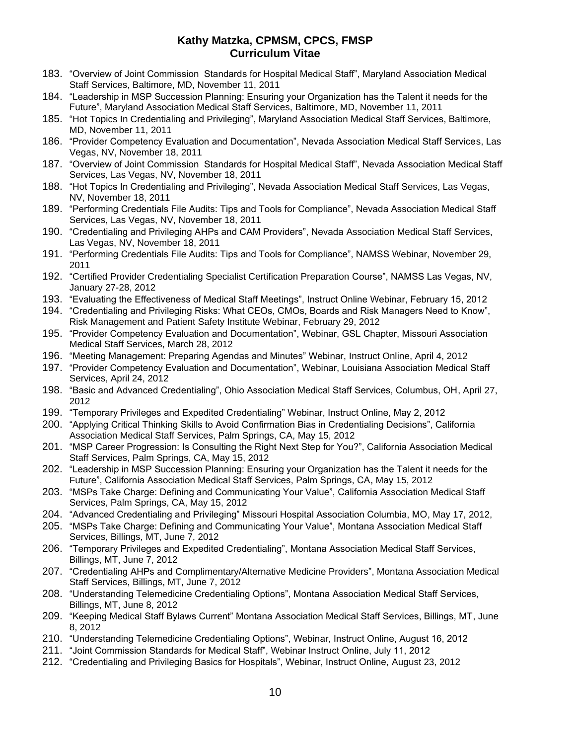- 183. "Overview of Joint Commission Standards for Hospital Medical Staff", Maryland Association Medical Staff Services, Baltimore, MD, November 11, 2011
- 184. "Leadership in MSP Succession Planning: Ensuring your Organization has the Talent it needs for the Future", Maryland Association Medical Staff Services, Baltimore, MD, November 11, 2011
- 185. "Hot Topics In Credentialing and Privileging", Maryland Association Medical Staff Services, Baltimore, MD, November 11, 2011
- 186. "Provider Competency Evaluation and Documentation", Nevada Association Medical Staff Services, Las Vegas, NV, November 18, 2011
- 187. "Overview of Joint Commission Standards for Hospital Medical Staff", Nevada Association Medical Staff Services, Las Vegas, NV, November 18, 2011
- 188. "Hot Topics In Credentialing and Privileging", Nevada Association Medical Staff Services, Las Vegas, NV, November 18, 2011
- 189. "Performing Credentials File Audits: Tips and Tools for Compliance", Nevada Association Medical Staff Services, Las Vegas, NV, November 18, 2011
- 190. "Credentialing and Privileging AHPs and CAM Providers", Nevada Association Medical Staff Services, Las Vegas, NV, November 18, 2011
- 191. "Performing Credentials File Audits: Tips and Tools for Compliance", NAMSS Webinar, November 29, 2011
- 192. "Certified Provider Credentialing Specialist Certification Preparation Course", NAMSS Las Vegas, NV, January 27-28, 2012
- 193. "Evaluating the Effectiveness of Medical Staff Meetings", Instruct Online Webinar, February 15, 2012
- 194. "Credentialing and Privileging Risks: What CEOs, CMOs, Boards and Risk Managers Need to Know", Risk Management and Patient Safety Institute Webinar, February 29, 2012
- 195. "Provider Competency Evaluation and Documentation", Webinar, GSL Chapter, Missouri Association Medical Staff Services, March 28, 2012
- 196. "Meeting Management: Preparing Agendas and Minutes" Webinar, Instruct Online, April 4, 2012
- 197. "Provider Competency Evaluation and Documentation", Webinar, Louisiana Association Medical Staff Services, April 24, 2012
- 198. "Basic and Advanced Credentialing", Ohio Association Medical Staff Services, Columbus, OH, April 27, 2012
- 199. "Temporary Privileges and Expedited Credentialing" Webinar, Instruct Online, May 2, 2012
- 200. "Applying Critical Thinking Skills to Avoid Confirmation Bias in Credentialing Decisions", California Association Medical Staff Services, Palm Springs, CA, May 15, 2012
- 201. "MSP Career Progression: Is Consulting the Right Next Step for You?", California Association Medical Staff Services, Palm Springs, CA, May 15, 2012
- 202. "Leadership in MSP Succession Planning: Ensuring your Organization has the Talent it needs for the Future", California Association Medical Staff Services, Palm Springs, CA, May 15, 2012
- 203. "MSPs Take Charge: Defining and Communicating Your Value", California Association Medical Staff Services, Palm Springs, CA, May 15, 2012
- 204. "Advanced Credentialing and Privileging" Missouri Hospital Association Columbia, MO, May 17, 2012,
- 205. "MSPs Take Charge: Defining and Communicating Your Value", Montana Association Medical Staff Services, Billings, MT, June 7, 2012
- 206. "Temporary Privileges and Expedited Credentialing", Montana Association Medical Staff Services, Billings, MT, June 7, 2012
- 207. "Credentialing AHPs and Complimentary/Alternative Medicine Providers", Montana Association Medical Staff Services, Billings, MT, June 7, 2012
- 208. "Understanding Telemedicine Credentialing Options", Montana Association Medical Staff Services, Billings, MT, June 8, 2012
- 209. "Keeping Medical Staff Bylaws Current" Montana Association Medical Staff Services, Billings, MT, June 8, 2012
- 210. "Understanding Telemedicine Credentialing Options", Webinar, Instruct Online, August 16, 2012
- 211. "Joint Commission Standards for Medical Staff", Webinar Instruct Online, July 11, 2012
- 212. "Credentialing and Privileging Basics for Hospitals", Webinar, Instruct Online, August 23, 2012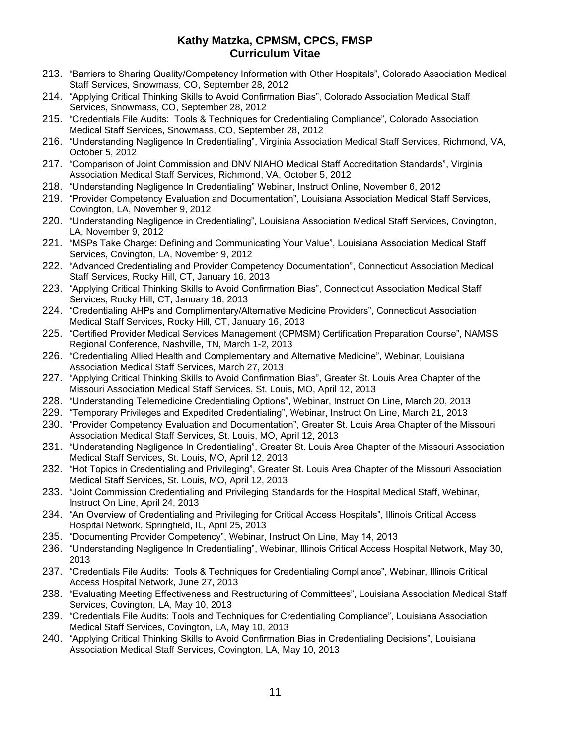- 213. "Barriers to Sharing Quality/Competency Information with Other Hospitals", Colorado Association Medical Staff Services, Snowmass, CO, September 28, 2012
- 214. "Applying Critical Thinking Skills to Avoid Confirmation Bias", Colorado Association Medical Staff Services, Snowmass, CO, September 28, 2012
- 215. "Credentials File Audits: Tools & Techniques for Credentialing Compliance", Colorado Association Medical Staff Services, Snowmass, CO, September 28, 2012
- 216. "Understanding Negligence In Credentialing", Virginia Association Medical Staff Services, Richmond, VA, October 5, 2012
- 217. "Comparison of Joint Commission and DNV NIAHO Medical Staff Accreditation Standards", Virginia Association Medical Staff Services, Richmond, VA, October 5, 2012
- 218. "Understanding Negligence In Credentialing" Webinar, Instruct Online, November 6, 2012
- 219. "Provider Competency Evaluation and Documentation", Louisiana Association Medical Staff Services, Covington, LA, November 9, 2012
- 220. "Understanding Negligence in Credentialing", Louisiana Association Medical Staff Services, Covington, LA, November 9, 2012
- 221. "MSPs Take Charge: Defining and Communicating Your Value", Louisiana Association Medical Staff Services, Covington, LA, November 9, 2012
- 222. "Advanced Credentialing and Provider Competency Documentation", Connecticut Association Medical Staff Services, Rocky Hill, CT, January 16, 2013
- 223. "Applying Critical Thinking Skills to Avoid Confirmation Bias", Connecticut Association Medical Staff Services, Rocky Hill, CT, January 16, 2013
- 224. "Credentialing AHPs and Complimentary/Alternative Medicine Providers", Connecticut Association Medical Staff Services, Rocky Hill, CT, January 16, 2013
- 225. "Certified Provider Medical Services Management (CPMSM) Certification Preparation Course", NAMSS Regional Conference, Nashville, TN, March 1-2, 2013
- 226. "Credentialing Allied Health and Complementary and Alternative Medicine", Webinar, Louisiana Association Medical Staff Services, March 27, 2013
- 227. "Applying Critical Thinking Skills to Avoid Confirmation Bias", Greater St. Louis Area Chapter of the Missouri Association Medical Staff Services, St. Louis, MO, April 12, 2013
- 228. "Understanding Telemedicine Credentialing Options", Webinar, Instruct On Line, March 20, 2013
- 229. "Temporary Privileges and Expedited Credentialing", Webinar, Instruct On Line, March 21, 2013
- 230. "Provider Competency Evaluation and Documentation", Greater St. Louis Area Chapter of the Missouri Association Medical Staff Services, St. Louis, MO, April 12, 2013
- 231. "Understanding Negligence In Credentialing", Greater St. Louis Area Chapter of the Missouri Association Medical Staff Services, St. Louis, MO, April 12, 2013
- 232. "Hot Topics in Credentialing and Privileging", Greater St. Louis Area Chapter of the Missouri Association Medical Staff Services, St. Louis, MO, April 12, 2013
- 233. "Joint Commission Credentialing and Privileging Standards for the Hospital Medical Staff, Webinar, Instruct On Line, April 24, 2013
- 234. "An Overview of Credentialing and Privileging for Critical Access Hospitals", Illinois Critical Access Hospital Network, Springfield, IL, April 25, 2013
- 235. "Documenting Provider Competency", Webinar, Instruct On Line, May 14, 2013
- 236. "Understanding Negligence In Credentialing", Webinar, Illinois Critical Access Hospital Network, May 30, 2013
- 237. "Credentials File Audits: Tools & Techniques for Credentialing Compliance", Webinar, Illinois Critical Access Hospital Network, June 27, 2013
- 238. "Evaluating Meeting Effectiveness and Restructuring of Committees", Louisiana Association Medical Staff Services, Covington, LA, May 10, 2013
- 239. "Credentials File Audits: Tools and Techniques for Credentialing Compliance", Louisiana Association Medical Staff Services, Covington, LA, May 10, 2013
- 240. "Applying Critical Thinking Skills to Avoid Confirmation Bias in Credentialing Decisions", Louisiana Association Medical Staff Services, Covington, LA, May 10, 2013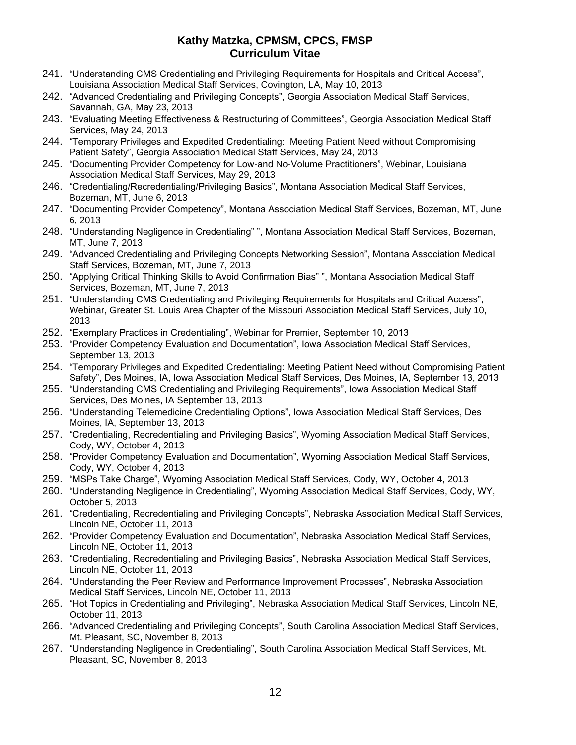- 241. "Understanding CMS Credentialing and Privileging Requirements for Hospitals and Critical Access", Louisiana Association Medical Staff Services, Covington, LA, May 10, 2013
- 242. "Advanced Credentialing and Privileging Concepts", Georgia Association Medical Staff Services, Savannah, GA, May 23, 2013
- 243. "Evaluating Meeting Effectiveness & Restructuring of Committees", Georgia Association Medical Staff Services, May 24, 2013
- 244. "Temporary Privileges and Expedited Credentialing: Meeting Patient Need without Compromising Patient Safety", Georgia Association Medical Staff Services, May 24, 2013
- 245. "Documenting Provider Competency for Low-and No-Volume Practitioners", Webinar, Louisiana Association Medical Staff Services, May 29, 2013
- 246. "Credentialing/Recredentialing/Privileging Basics", Montana Association Medical Staff Services, Bozeman, MT, June 6, 2013
- 247. "Documenting Provider Competency", Montana Association Medical Staff Services, Bozeman, MT, June 6, 2013
- 248. "Understanding Negligence in Credentialing" ", Montana Association Medical Staff Services, Bozeman, MT, June 7, 2013
- 249. "Advanced Credentialing and Privileging Concepts Networking Session", Montana Association Medical Staff Services, Bozeman, MT, June 7, 2013
- 250. "Applying Critical Thinking Skills to Avoid Confirmation Bias" ", Montana Association Medical Staff Services, Bozeman, MT, June 7, 2013
- 251. "Understanding CMS Credentialing and Privileging Requirements for Hospitals and Critical Access", Webinar, Greater St. Louis Area Chapter of the Missouri Association Medical Staff Services, July 10, 2013
- 252. "Exemplary Practices in Credentialing", Webinar for Premier, September 10, 2013
- 253. "Provider Competency Evaluation and Documentation", Iowa Association Medical Staff Services, September 13, 2013
- 254. "Temporary Privileges and Expedited Credentialing: Meeting Patient Need without Compromising Patient Safety", Des Moines, IA, Iowa Association Medical Staff Services, Des Moines, IA, September 13, 2013
- 255. "Understanding CMS Credentialing and Privileging Requirements", Iowa Association Medical Staff Services, Des Moines, IA September 13, 2013
- 256. "Understanding Telemedicine Credentialing Options", Iowa Association Medical Staff Services, Des Moines, IA, September 13, 2013
- 257. "Credentialing, Recredentialing and Privileging Basics", Wyoming Association Medical Staff Services, Cody, WY, October 4, 2013
- 258. "Provider Competency Evaluation and Documentation", Wyoming Association Medical Staff Services, Cody, WY, October 4, 2013
- 259. "MSPs Take Charge", Wyoming Association Medical Staff Services, Cody, WY, October 4, 2013
- 260. "Understanding Negligence in Credentialing", Wyoming Association Medical Staff Services, Cody, WY, October 5, 2013
- 261. "Credentialing, Recredentialing and Privileging Concepts", Nebraska Association Medical Staff Services, Lincoln NE, October 11, 2013
- 262. "Provider Competency Evaluation and Documentation", Nebraska Association Medical Staff Services, Lincoln NE, October 11, 2013
- 263. "Credentialing, Recredentialing and Privileging Basics", Nebraska Association Medical Staff Services, Lincoln NE, October 11, 2013
- 264. "Understanding the Peer Review and Performance Improvement Processes", Nebraska Association Medical Staff Services, Lincoln NE, October 11, 2013
- 265. "Hot Topics in Credentialing and Privileging", Nebraska Association Medical Staff Services, Lincoln NE, October 11, 2013
- 266. "Advanced Credentialing and Privileging Concepts", South Carolina Association Medical Staff Services, Mt. Pleasant, SC, November 8, 2013
- 267. "Understanding Negligence in Credentialing", South Carolina Association Medical Staff Services, Mt. Pleasant, SC, November 8, 2013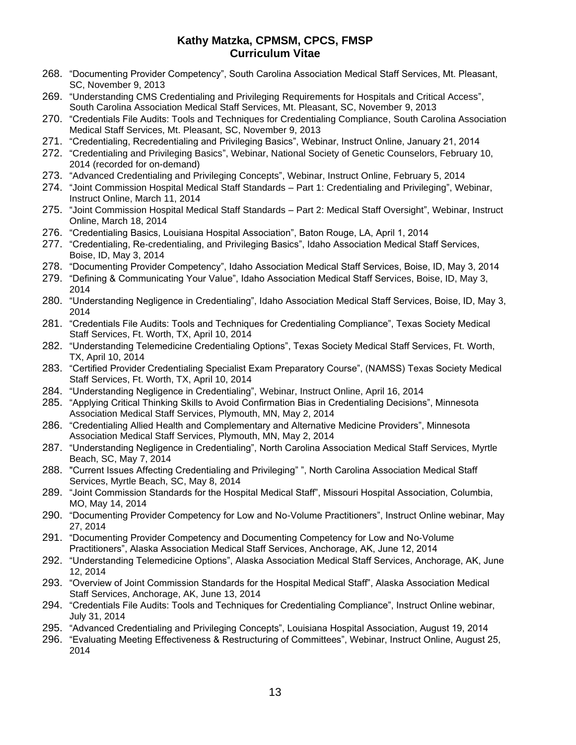- 268. "Documenting Provider Competency", South Carolina Association Medical Staff Services, Mt. Pleasant, SC, November 9, 2013
- 269. "Understanding CMS Credentialing and Privileging Requirements for Hospitals and Critical Access", South Carolina Association Medical Staff Services, Mt. Pleasant, SC, November 9, 2013
- 270. "Credentials File Audits: Tools and Techniques for Credentialing Compliance, South Carolina Association Medical Staff Services, Mt. Pleasant, SC, November 9, 2013
- 271. "Credentialing, Recredentialing and Privileging Basics", Webinar, Instruct Online, January 21, 2014
- 272. "Credentialing and Privileging Basics", Webinar, National Society of Genetic Counselors, February 10, 2014 (recorded for on-demand)
- 273. "Advanced Credentialing and Privileging Concepts", Webinar, Instruct Online, February 5, 2014
- 274. "Joint Commission Hospital Medical Staff Standards Part 1: Credentialing and Privileging", Webinar, Instruct Online, March 11, 2014
- 275. "Joint Commission Hospital Medical Staff Standards Part 2: Medical Staff Oversight", Webinar, Instruct Online, March 18, 2014
- 276. "Credentialing Basics, Louisiana Hospital Association", Baton Rouge, LA, April 1, 2014
- 277. "Credentialing, Re-credentialing, and Privileging Basics", Idaho Association Medical Staff Services, Boise, ID, May 3, 2014
- 278. "Documenting Provider Competency", Idaho Association Medical Staff Services, Boise, ID, May 3, 2014
- 279. "Defining & Communicating Your Value", Idaho Association Medical Staff Services, Boise, ID, May 3, 2014
- 280. "Understanding Negligence in Credentialing", Idaho Association Medical Staff Services, Boise, ID, May 3, 2014
- 281. "Credentials File Audits: Tools and Techniques for Credentialing Compliance", Texas Society Medical Staff Services, Ft. Worth, TX, April 10, 2014
- 282. "Understanding Telemedicine Credentialing Options", Texas Society Medical Staff Services, Ft. Worth, TX, April 10, 2014
- 283. "Certified Provider Credentialing Specialist Exam Preparatory Course", (NAMSS) Texas Society Medical Staff Services, Ft. Worth, TX, April 10, 2014
- 284. "Understanding Negligence in Credentialing", Webinar, Instruct Online, April 16, 2014
- 285. "Applying Critical Thinking Skills to Avoid Confirmation Bias in Credentialing Decisions", Minnesota Association Medical Staff Services, Plymouth, MN, May 2, 2014
- 286. "Credentialing Allied Health and Complementary and Alternative Medicine Providers", Minnesota Association Medical Staff Services, Plymouth, MN, May 2, 2014
- 287. "Understanding Negligence in Credentialing", North Carolina Association Medical Staff Services, Myrtle Beach, SC, May 7, 2014
- 288. "Current Issues Affecting Credentialing and Privileging" ", North Carolina Association Medical Staff Services, Myrtle Beach, SC, May 8, 2014
- 289. "Joint Commission Standards for the Hospital Medical Staff", Missouri Hospital Association, Columbia, MO, May 14, 2014
- 290. "Documenting Provider Competency for Low and No-Volume Practitioners", Instruct Online webinar, May 27, 2014
- 291. "Documenting Provider Competency and Documenting Competency for Low and No-Volume Practitioners", Alaska Association Medical Staff Services, Anchorage, AK, June 12, 2014
- 292. "Understanding Telemedicine Options", Alaska Association Medical Staff Services, Anchorage, AK, June 12, 2014
- 293. "Overview of Joint Commission Standards for the Hospital Medical Staff", Alaska Association Medical Staff Services, Anchorage, AK, June 13, 2014
- 294. "Credentials File Audits: Tools and Techniques for Credentialing Compliance", Instruct Online webinar, July 31, 2014
- 295. "Advanced Credentialing and Privileging Concepts", Louisiana Hospital Association, August 19, 2014
- 296. "Evaluating Meeting Effectiveness & Restructuring of Committees", Webinar, Instruct Online, August 25, 2014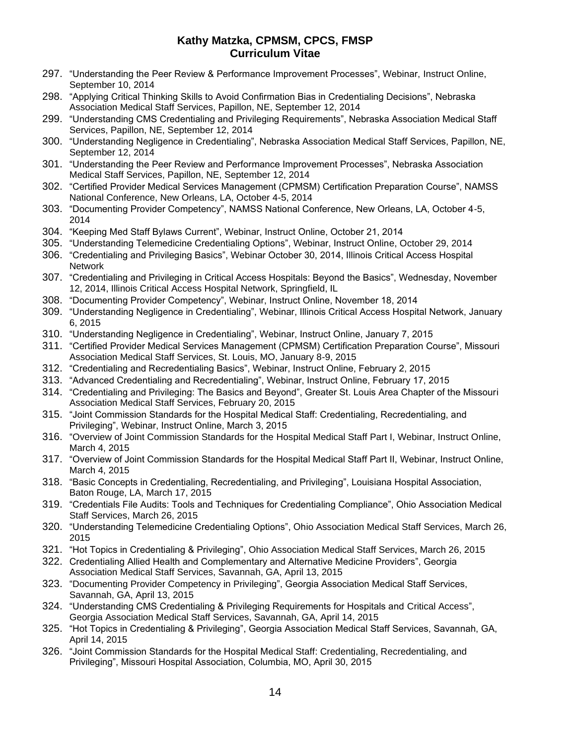- 297. "Understanding the Peer Review & Performance Improvement Processes", Webinar, Instruct Online, September 10, 2014
- 298. "Applying Critical Thinking Skills to Avoid Confirmation Bias in Credentialing Decisions", Nebraska Association Medical Staff Services, Papillon, NE, September 12, 2014
- 299. "Understanding CMS Credentialing and Privileging Requirements", Nebraska Association Medical Staff Services, Papillon, NE, September 12, 2014
- 300. "Understanding Negligence in Credentialing", Nebraska Association Medical Staff Services, Papillon, NE, September 12, 2014
- 301. "Understanding the Peer Review and Performance Improvement Processes", Nebraska Association Medical Staff Services, Papillon, NE, September 12, 2014
- 302. "Certified Provider Medical Services Management (CPMSM) Certification Preparation Course", NAMSS National Conference, New Orleans, LA, October 4-5, 2014
- 303. "Documenting Provider Competency", NAMSS National Conference, New Orleans, LA, October 4-5, 2014
- 304. "Keeping Med Staff Bylaws Current", Webinar, Instruct Online, October 21, 2014
- 305. "Understanding Telemedicine Credentialing Options", Webinar, Instruct Online, October 29, 2014
- 306. "Credentialing and Privileging Basics", Webinar October 30, 2014, Illinois Critical Access Hospital Network
- 307. "Credentialing and Privileging in Critical Access Hospitals: Beyond the Basics", Wednesday, November 12, 2014, Illinois Critical Access Hospital Network, Springfield, IL
- 308. "Documenting Provider Competency", Webinar, Instruct Online, November 18, 2014
- 309. "Understanding Negligence in Credentialing", Webinar, Illinois Critical Access Hospital Network, January 6, 2015
- 310. "Understanding Negligence in Credentialing", Webinar, Instruct Online, January 7, 2015
- 311. "Certified Provider Medical Services Management (CPMSM) Certification Preparation Course", Missouri Association Medical Staff Services, St. Louis, MO, January 8-9, 2015
- 312. "Credentialing and Recredentialing Basics", Webinar, Instruct Online, February 2, 2015
- 313. "Advanced Credentialing and Recredentialing", Webinar, Instruct Online, February 17, 2015
- 314. "Credentialing and Privileging: The Basics and Beyond", Greater St. Louis Area Chapter of the Missouri Association Medical Staff Services, February 20, 2015
- 315. "Joint Commission Standards for the Hospital Medical Staff: Credentialing, Recredentialing, and Privileging", Webinar, Instruct Online, March 3, 2015
- 316. "Overview of Joint Commission Standards for the Hospital Medical Staff Part I, Webinar, Instruct Online, March 4, 2015
- 317. "Overview of Joint Commission Standards for the Hospital Medical Staff Part II, Webinar, Instruct Online, March 4, 2015
- 318. "Basic Concepts in Credentialing, Recredentialing, and Privileging", Louisiana Hospital Association, Baton Rouge, LA, March 17, 2015
- 319. "Credentials File Audits: Tools and Techniques for Credentialing Compliance", Ohio Association Medical Staff Services, March 26, 2015
- 320. "Understanding Telemedicine Credentialing Options", Ohio Association Medical Staff Services, March 26, 2015
- 321. "Hot Topics in Credentialing & Privileging", Ohio Association Medical Staff Services, March 26, 2015
- 322. Credentialing Allied Health and Complementary and Alternative Medicine Providers", Georgia Association Medical Staff Services, Savannah, GA, April 13, 2015
- 323. "Documenting Provider Competency in Privileging", Georgia Association Medical Staff Services, Savannah, GA, April 13, 2015
- 324. "Understanding CMS Credentialing & Privileging Requirements for Hospitals and Critical Access", Georgia Association Medical Staff Services, Savannah, GA, April 14, 2015
- 325. "Hot Topics in Credentialing & Privileging", Georgia Association Medical Staff Services, Savannah, GA, April 14, 2015
- 326. "Joint Commission Standards for the Hospital Medical Staff: Credentialing, Recredentialing, and Privileging", Missouri Hospital Association, Columbia, MO, April 30, 2015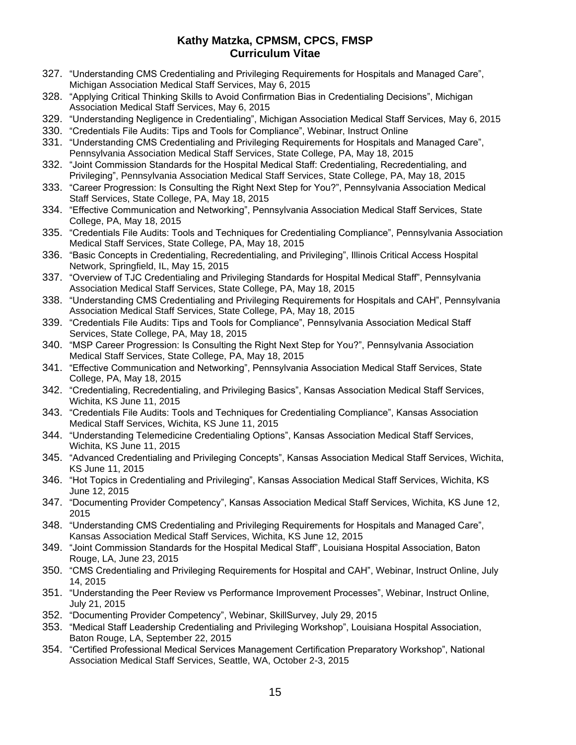- 327. "Understanding CMS Credentialing and Privileging Requirements for Hospitals and Managed Care", Michigan Association Medical Staff Services, May 6, 2015
- 328. "Applying Critical Thinking Skills to Avoid Confirmation Bias in Credentialing Decisions", Michigan Association Medical Staff Services, May 6, 2015
- 329. "Understanding Negligence in Credentialing", Michigan Association Medical Staff Services, May 6, 2015
- 330. "Credentials File Audits: Tips and Tools for Compliance", Webinar, Instruct Online
- 331. "Understanding CMS Credentialing and Privileging Requirements for Hospitals and Managed Care", Pennsylvania Association Medical Staff Services, State College, PA, May 18, 2015
- 332. "Joint Commission Standards for the Hospital Medical Staff: Credentialing, Recredentialing, and Privileging", Pennsylvania Association Medical Staff Services, State College, PA, May 18, 2015
- 333. "Career Progression: Is Consulting the Right Next Step for You?", Pennsylvania Association Medical Staff Services, State College, PA, May 18, 2015
- 334. "Effective Communication and Networking", Pennsylvania Association Medical Staff Services, State College, PA, May 18, 2015
- 335. "Credentials File Audits: Tools and Techniques for Credentialing Compliance", Pennsylvania Association Medical Staff Services, State College, PA, May 18, 2015
- 336. "Basic Concepts in Credentialing, Recredentialing, and Privileging", Illinois Critical Access Hospital Network, Springfield, IL, May 15, 2015
- 337. "Overview of TJC Credentialing and Privileging Standards for Hospital Medical Staff", Pennsylvania Association Medical Staff Services, State College, PA, May 18, 2015
- 338. "Understanding CMS Credentialing and Privileging Requirements for Hospitals and CAH", Pennsylvania Association Medical Staff Services, State College, PA, May 18, 2015
- 339. "Credentials File Audits: Tips and Tools for Compliance", Pennsylvania Association Medical Staff Services, State College, PA, May 18, 2015
- 340. "MSP Career Progression: Is Consulting the Right Next Step for You?", Pennsylvania Association Medical Staff Services, State College, PA, May 18, 2015
- 341. "Effective Communication and Networking", Pennsylvania Association Medical Staff Services, State College, PA, May 18, 2015
- 342. "Credentialing, Recredentialing, and Privileging Basics", Kansas Association Medical Staff Services, Wichita, KS June 11, 2015
- 343. "Credentials File Audits: Tools and Techniques for Credentialing Compliance", Kansas Association Medical Staff Services, Wichita, KS June 11, 2015
- 344. "Understanding Telemedicine Credentialing Options", Kansas Association Medical Staff Services, Wichita, KS June 11, 2015
- 345. "Advanced Credentialing and Privileging Concepts", Kansas Association Medical Staff Services, Wichita, KS June 11, 2015
- 346. "Hot Topics in Credentialing and Privileging", Kansas Association Medical Staff Services, Wichita, KS June 12, 2015
- 347. "Documenting Provider Competency", Kansas Association Medical Staff Services, Wichita, KS June 12, 2015
- 348. "Understanding CMS Credentialing and Privileging Requirements for Hospitals and Managed Care", Kansas Association Medical Staff Services, Wichita, KS June 12, 2015
- 349. "Joint Commission Standards for the Hospital Medical Staff", Louisiana Hospital Association, Baton Rouge, LA, June 23, 2015
- 350. "CMS Credentialing and Privileging Requirements for Hospital and CAH", Webinar, Instruct Online, July 14, 2015
- 351. "Understanding the Peer Review vs Performance Improvement Processes", Webinar, Instruct Online, July 21, 2015
- 352. "Documenting Provider Competency", Webinar, SkillSurvey, July 29, 2015
- 353. "Medical Staff Leadership Credentialing and Privileging Workshop", Louisiana Hospital Association, Baton Rouge, LA, September 22, 2015
- 354. "Certified Professional Medical Services Management Certification Preparatory Workshop", National Association Medical Staff Services, Seattle, WA, October 2-3, 2015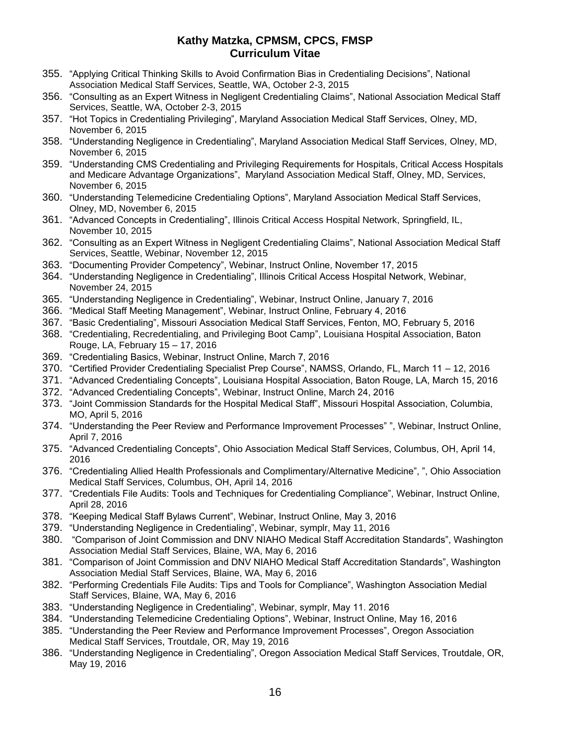- 355. "Applying Critical Thinking Skills to Avoid Confirmation Bias in Credentialing Decisions", National Association Medical Staff Services, Seattle, WA, October 2-3, 2015
- 356. "Consulting as an Expert Witness in Negligent Credentialing Claims", National Association Medical Staff Services, Seattle, WA, October 2-3, 2015
- 357. "Hot Topics in Credentialing Privileging", Maryland Association Medical Staff Services, Olney, MD, November 6, 2015
- 358. "Understanding Negligence in Credentialing", Maryland Association Medical Staff Services, Olney, MD, November 6, 2015
- 359. "Understanding CMS Credentialing and Privileging Requirements for Hospitals, Critical Access Hospitals and Medicare Advantage Organizations", Maryland Association Medical Staff, Olney, MD, Services, November 6, 2015
- 360. "Understanding Telemedicine Credentialing Options", Maryland Association Medical Staff Services, Olney, MD, November 6, 2015
- 361. "Advanced Concepts in Credentialing", Illinois Critical Access Hospital Network, Springfield, IL, November 10, 2015
- 362. "Consulting as an Expert Witness in Negligent Credentialing Claims", National Association Medical Staff Services, Seattle, Webinar, November 12, 2015
- 363. "Documenting Provider Competency", Webinar, Instruct Online, November 17, 2015
- 364. "Understanding Negligence in Credentialing", Illinois Critical Access Hospital Network, Webinar, November 24, 2015
- 365. "Understanding Negligence in Credentialing", Webinar, Instruct Online, January 7, 2016
- 366. "Medical Staff Meeting Management", Webinar, Instruct Online, February 4, 2016
- 367. "Basic Credentialing", Missouri Association Medical Staff Services, Fenton, MO, February 5, 2016
- 368. "Credentialing, Recredentialing, and Privileging Boot Camp", Louisiana Hospital Association, Baton Rouge, LA, February 15 – 17, 2016
- 369. "Credentialing Basics, Webinar, Instruct Online, March 7, 2016
- 370. "Certified Provider Credentialing Specialist Prep Course", NAMSS, Orlando, FL, March 11 12, 2016
- 371. "Advanced Credentialing Concepts", Louisiana Hospital Association, Baton Rouge, LA, March 15, 2016
- 372. "Advanced Credentialing Concepts", Webinar, Instruct Online, March 24, 2016
- 373. "Joint Commission Standards for the Hospital Medical Staff", Missouri Hospital Association, Columbia, MO, April 5, 2016
- 374. "Understanding the Peer Review and Performance Improvement Processes" ", Webinar, Instruct Online, April 7, 2016
- 375. "Advanced Credentialing Concepts", Ohio Association Medical Staff Services, Columbus, OH, April 14, 2016
- 376. "Credentialing Allied Health Professionals and Complimentary/Alternative Medicine", ", Ohio Association Medical Staff Services, Columbus, OH, April 14, 2016
- 377. "Credentials File Audits: Tools and Techniques for Credentialing Compliance", Webinar, Instruct Online, April 28, 2016
- 378. "Keeping Medical Staff Bylaws Current", Webinar, Instruct Online, May 3, 2016
- 379. "Understanding Negligence in Credentialing", Webinar, symplr, May 11, 2016
- 380. "Comparison of Joint Commission and DNV NIAHO Medical Staff Accreditation Standards", Washington Association Medial Staff Services, Blaine, WA, May 6, 2016
- 381. "Comparison of Joint Commission and DNV NIAHO Medical Staff Accreditation Standards", Washington Association Medial Staff Services, Blaine, WA, May 6, 2016
- 382. "Performing Credentials File Audits: Tips and Tools for Compliance", Washington Association Medial Staff Services, Blaine, WA, May 6, 2016
- 383. "Understanding Negligence in Credentialing", Webinar, symplr, May 11. 2016
- 384. "Understanding Telemedicine Credentialing Options", Webinar, Instruct Online, May 16, 2016
- 385. "Understanding the Peer Review and Performance Improvement Processes", Oregon Association Medical Staff Services, Troutdale, OR, May 19, 2016
- 386. "Understanding Negligence in Credentialing", Oregon Association Medical Staff Services, Troutdale, OR, May 19, 2016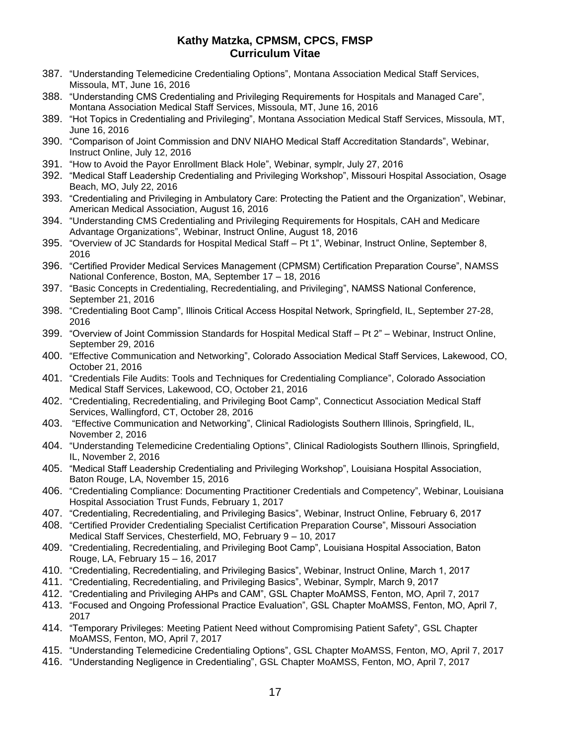- 387. "Understanding Telemedicine Credentialing Options", Montana Association Medical Staff Services, Missoula, MT, June 16, 2016
- 388. "Understanding CMS Credentialing and Privileging Requirements for Hospitals and Managed Care", Montana Association Medical Staff Services, Missoula, MT, June 16, 2016
- 389. "Hot Topics in Credentialing and Privileging", Montana Association Medical Staff Services, Missoula, MT, June 16, 2016
- 390. "Comparison of Joint Commission and DNV NIAHO Medical Staff Accreditation Standards", Webinar, Instruct Online, July 12, 2016
- 391. "How to Avoid the Payor Enrollment Black Hole", Webinar, symplr, July 27, 2016
- 392. "Medical Staff Leadership Credentialing and Privileging Workshop", Missouri Hospital Association, Osage Beach, MO, July 22, 2016
- 393. "Credentialing and Privileging in Ambulatory Care: Protecting the Patient and the Organization", Webinar, American Medical Association, August 16, 2016
- 394. "Understanding CMS Credentialing and Privileging Requirements for Hospitals, CAH and Medicare Advantage Organizations", Webinar, Instruct Online, August 18, 2016
- 395. "Overview of JC Standards for Hospital Medical Staff Pt 1", Webinar, Instruct Online, September 8, 2016
- 396. "Certified Provider Medical Services Management (CPMSM) Certification Preparation Course", NAMSS National Conference, Boston, MA, September 17 – 18, 2016
- 397. "Basic Concepts in Credentialing, Recredentialing, and Privileging", NAMSS National Conference, September 21, 2016
- 398. "Credentialing Boot Camp", Illinois Critical Access Hospital Network, Springfield, IL, September 27-28, 2016
- 399. "Overview of Joint Commission Standards for Hospital Medical Staff Pt 2" Webinar, Instruct Online, September 29, 2016
- 400. "Effective Communication and Networking", Colorado Association Medical Staff Services, Lakewood, CO, October 21, 2016
- 401. "Credentials File Audits: Tools and Techniques for Credentialing Compliance", Colorado Association Medical Staff Services, Lakewood, CO, October 21, 2016
- 402. "Credentialing, Recredentialing, and Privileging Boot Camp", Connecticut Association Medical Staff Services, Wallingford, CT, October 28, 2016
- 403. "Effective Communication and Networking", Clinical Radiologists Southern Illinois, Springfield, IL, November 2, 2016
- 404. "Understanding Telemedicine Credentialing Options", Clinical Radiologists Southern Illinois, Springfield, IL, November 2, 2016
- 405. "Medical Staff Leadership Credentialing and Privileging Workshop", Louisiana Hospital Association, Baton Rouge, LA, November 15, 2016
- 406. "Credentialing Compliance: Documenting Practitioner Credentials and Competency", Webinar, Louisiana Hospital Association Trust Funds, February 1, 2017
- 407. "Credentialing, Recredentialing, and Privileging Basics", Webinar, Instruct Online, February 6, 2017
- 408. "Certified Provider Credentialing Specialist Certification Preparation Course", Missouri Association Medical Staff Services, Chesterfield, MO, February 9 – 10, 2017
- 409. "Credentialing, Recredentialing, and Privileging Boot Camp", Louisiana Hospital Association, Baton Rouge, LA, February 15 – 16, 2017
- 410. "Credentialing, Recredentialing, and Privileging Basics", Webinar, Instruct Online, March 1, 2017
- 411. "Credentialing, Recredentialing, and Privileging Basics", Webinar, Symplr, March 9, 2017
- 412. "Credentialing and Privileging AHPs and CAM", GSL Chapter MoAMSS, Fenton, MO, April 7, 2017
- 413. "Focused and Ongoing Professional Practice Evaluation", GSL Chapter MoAMSS, Fenton, MO, April 7, 2017
- 414. "Temporary Privileges: Meeting Patient Need without Compromising Patient Safety", GSL Chapter MoAMSS, Fenton, MO, April 7, 2017
- 415. "Understanding Telemedicine Credentialing Options", GSL Chapter MoAMSS, Fenton, MO, April 7, 2017
- 416. "Understanding Negligence in Credentialing", GSL Chapter MoAMSS, Fenton, MO, April 7, 2017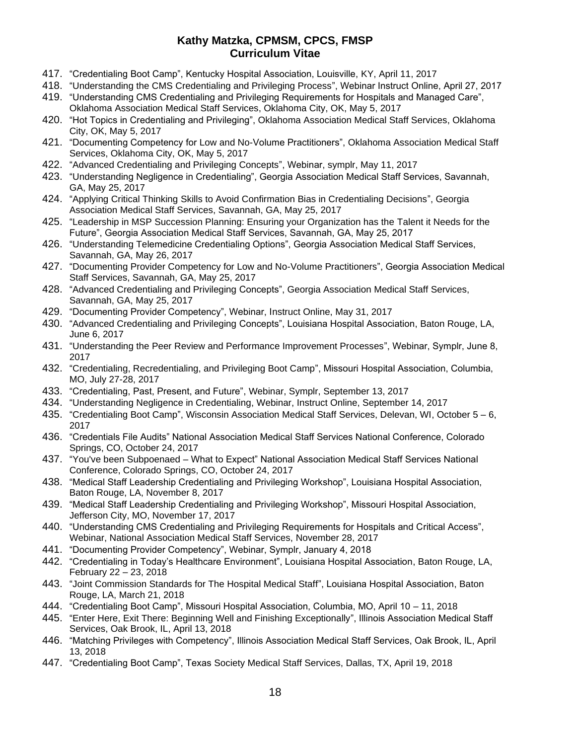- 417. "Credentialing Boot Camp", Kentucky Hospital Association, Louisville, KY, April 11, 2017
- 418. "Understanding the CMS Credentialing and Privileging Process", Webinar Instruct Online, April 27, 2017
- 419. "Understanding CMS Credentialing and Privileging Requirements for Hospitals and Managed Care", Oklahoma Association Medical Staff Services, Oklahoma City, OK, May 5, 2017
- 420. "Hot Topics in Credentialing and Privileging", Oklahoma Association Medical Staff Services, Oklahoma City, OK, May 5, 2017
- 421. "Documenting Competency for Low and No-Volume Practitioners", Oklahoma Association Medical Staff Services, Oklahoma City, OK, May 5, 2017
- 422. "Advanced Credentialing and Privileging Concepts", Webinar, symplr, May 11, 2017
- 423. "Understanding Negligence in Credentialing", Georgia Association Medical Staff Services, Savannah, GA, May 25, 2017
- 424. "Applying Critical Thinking Skills to Avoid Confirmation Bias in Credentialing Decisions", Georgia Association Medical Staff Services, Savannah, GA, May 25, 2017
- 425. "Leadership in MSP Succession Planning: Ensuring your Organization has the Talent it Needs for the Future", Georgia Association Medical Staff Services, Savannah, GA, May 25, 2017
- 426. "Understanding Telemedicine Credentialing Options", Georgia Association Medical Staff Services, Savannah, GA, May 26, 2017
- 427. "Documenting Provider Competency for Low and No-Volume Practitioners", Georgia Association Medical Staff Services, Savannah, GA, May 25, 2017
- 428. "Advanced Credentialing and Privileging Concepts", Georgia Association Medical Staff Services, Savannah, GA, May 25, 2017
- 429. "Documenting Provider Competency", Webinar, Instruct Online, May 31, 2017
- 430. "Advanced Credentialing and Privileging Concepts", Louisiana Hospital Association, Baton Rouge, LA, June 6, 2017
- 431. "Understanding the Peer Review and Performance Improvement Processes", Webinar, Symplr, June 8, 2017
- 432. "Credentialing, Recredentialing, and Privileging Boot Camp", Missouri Hospital Association, Columbia, MO, July 27-28, 2017
- 433. "Credentialing, Past, Present, and Future", Webinar, Symplr, September 13, 2017
- 434. "Understanding Negligence in Credentialing, Webinar, Instruct Online, September 14, 2017
- 435. "Credentialing Boot Camp", Wisconsin Association Medical Staff Services, Delevan, WI, October 5 6, 2017
- 436. "Credentials File Audits" National Association Medical Staff Services National Conference, Colorado Springs, CO, October 24, 2017
- 437. "You've been Subpoenaed What to Expect" National Association Medical Staff Services National Conference, Colorado Springs, CO, October 24, 2017
- 438. "Medical Staff Leadership Credentialing and Privileging Workshop", Louisiana Hospital Association, Baton Rouge, LA, November 8, 2017
- 439. "Medical Staff Leadership Credentialing and Privileging Workshop", Missouri Hospital Association, Jefferson City, MO, November 17, 2017
- 440. "Understanding CMS Credentialing and Privileging Requirements for Hospitals and Critical Access", Webinar, National Association Medical Staff Services, November 28, 2017
- 441. "Documenting Provider Competency", Webinar, Symplr, January 4, 2018
- 442. "Credentialing in Today's Healthcare Environment", Louisiana Hospital Association, Baton Rouge, LA, February 22 – 23, 2018
- 443. "Joint Commission Standards for The Hospital Medical Staff", Louisiana Hospital Association, Baton Rouge, LA, March 21, 2018
- 444. "Credentialing Boot Camp", Missouri Hospital Association, Columbia, MO, April 10 11, 2018
- 445. "Enter Here, Exit There: Beginning Well and Finishing Exceptionally", Illinois Association Medical Staff Services, Oak Brook, IL, April 13, 2018
- 446. "Matching Privileges with Competency", Illinois Association Medical Staff Services, Oak Brook, IL, April 13, 2018
- 447. "Credentialing Boot Camp", Texas Society Medical Staff Services, Dallas, TX, April 19, 2018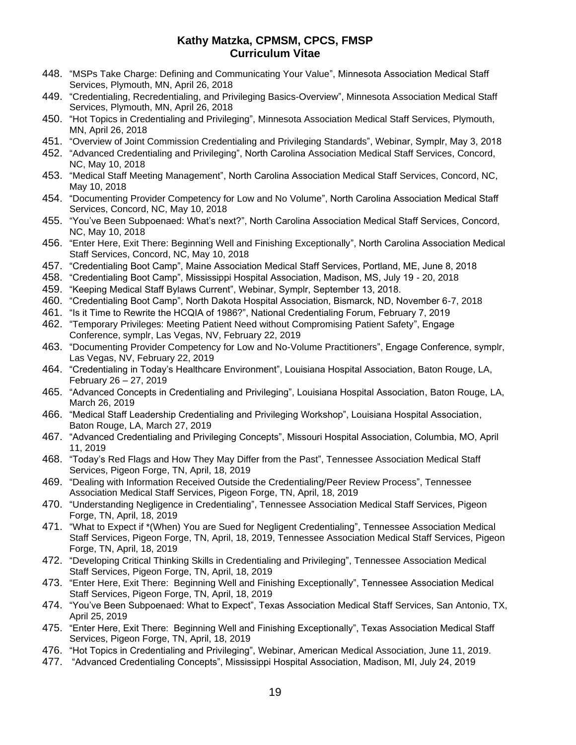- 448. "MSPs Take Charge: Defining and Communicating Your Value", Minnesota Association Medical Staff Services, Plymouth, MN, April 26, 2018
- 449. "Credentialing, Recredentialing, and Privileging Basics-Overview", Minnesota Association Medical Staff Services, Plymouth, MN, April 26, 2018
- 450. "Hot Topics in Credentialing and Privileging", Minnesota Association Medical Staff Services, Plymouth, MN, April 26, 2018
- 451. "Overview of Joint Commission Credentialing and Privileging Standards", Webinar, Symplr, May 3, 2018
- 452. "Advanced Credentialing and Privileging", North Carolina Association Medical Staff Services, Concord, NC, May 10, 2018
- 453. "Medical Staff Meeting Management", North Carolina Association Medical Staff Services, Concord, NC, May 10, 2018
- 454. "Documenting Provider Competency for Low and No Volume", North Carolina Association Medical Staff Services, Concord, NC, May 10, 2018
- 455. "You've Been Subpoenaed: What's next?", North Carolina Association Medical Staff Services, Concord, NC, May 10, 2018
- 456. "Enter Here, Exit There: Beginning Well and Finishing Exceptionally", North Carolina Association Medical Staff Services, Concord, NC, May 10, 2018
- 457. "Credentialing Boot Camp", Maine Association Medical Staff Services, Portland, ME, June 8, 2018
- 458. "Credentialing Boot Camp", Mississippi Hospital Association, Madison, MS, July 19 20, 2018
- 459. "Keeping Medical Staff Bylaws Current", Webinar, Symplr, September 13, 2018.
- 460. "Credentialing Boot Camp", North Dakota Hospital Association, Bismarck, ND, November 6-7, 2018
- 461. "Is it Time to Rewrite the HCQIA of 1986?", National Credentialing Forum, February 7, 2019
- 462. "Temporary Privileges: Meeting Patient Need without Compromising Patient Safety", Engage Conference, symplr, Las Vegas, NV, February 22, 2019
- 463. "Documenting Provider Competency for Low and No-Volume Practitioners", Engage Conference, symplr, Las Vegas, NV, February 22, 2019
- 464. "Credentialing in Today's Healthcare Environment", Louisiana Hospital Association, Baton Rouge, LA, February 26 – 27, 2019
- 465. "Advanced Concepts in Credentialing and Privileging", Louisiana Hospital Association, Baton Rouge, LA, March 26, 2019
- 466. "Medical Staff Leadership Credentialing and Privileging Workshop", Louisiana Hospital Association, Baton Rouge, LA, March 27, 2019
- 467. "Advanced Credentialing and Privileging Concepts", Missouri Hospital Association, Columbia, MO, April 11, 2019
- 468. "Today's Red Flags and How They May Differ from the Past", Tennessee Association Medical Staff Services, Pigeon Forge, TN, April, 18, 2019
- 469. "Dealing with Information Received Outside the Credentialing/Peer Review Process", Tennessee Association Medical Staff Services, Pigeon Forge, TN, April, 18, 2019
- 470. "Understanding Negligence in Credentialing", Tennessee Association Medical Staff Services, Pigeon Forge, TN, April, 18, 2019
- 471. "What to Expect if \*(When) You are Sued for Negligent Credentialing", Tennessee Association Medical Staff Services, Pigeon Forge, TN, April, 18, 2019, Tennessee Association Medical Staff Services, Pigeon Forge, TN, April, 18, 2019
- 472. "Developing Critical Thinking Skills in Credentialing and Privileging", Tennessee Association Medical Staff Services, Pigeon Forge, TN, April, 18, 2019
- 473. "Enter Here, Exit There: Beginning Well and Finishing Exceptionally", Tennessee Association Medical Staff Services, Pigeon Forge, TN, April, 18, 2019
- 474. "You've Been Subpoenaed: What to Expect", Texas Association Medical Staff Services, San Antonio, TX, April 25, 2019
- 475. "Enter Here, Exit There: Beginning Well and Finishing Exceptionally", Texas Association Medical Staff Services, Pigeon Forge, TN, April, 18, 2019
- 476. "Hot Topics in Credentialing and Privileging", Webinar, American Medical Association, June 11, 2019.
- 477. "Advanced Credentialing Concepts", Mississippi Hospital Association, Madison, MI, July 24, 2019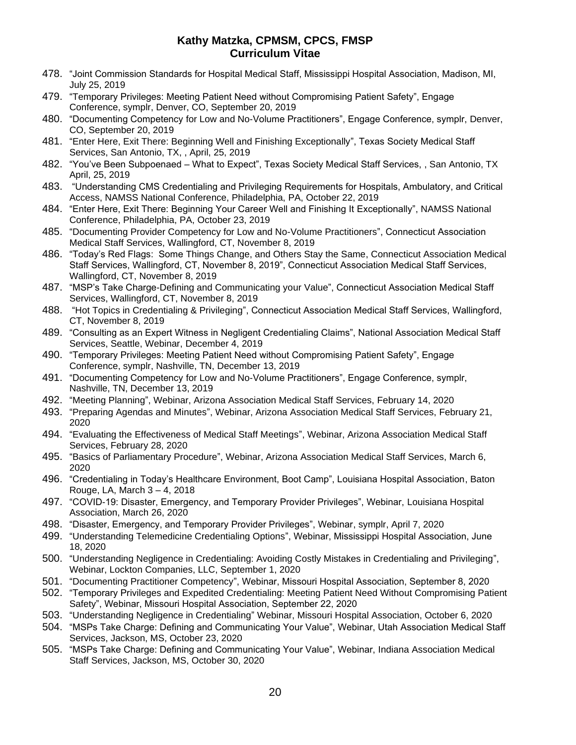- 478. "Joint Commission Standards for Hospital Medical Staff, Mississippi Hospital Association, Madison, MI, July 25, 2019
- 479. "Temporary Privileges: Meeting Patient Need without Compromising Patient Safety", Engage Conference, symplr, Denver, CO, September 20, 2019
- 480. "Documenting Competency for Low and No-Volume Practitioners", Engage Conference, symplr, Denver, CO, September 20, 2019
- 481. "Enter Here, Exit There: Beginning Well and Finishing Exceptionally", Texas Society Medical Staff Services, San Antonio, TX, , April, 25, 2019
- 482. "You've Been Subpoenaed What to Expect", Texas Society Medical Staff Services, , San Antonio, TX April, 25, 2019
- 483. "Understanding CMS Credentialing and Privileging Requirements for Hospitals, Ambulatory, and Critical Access, NAMSS National Conference, Philadelphia, PA, October 22, 2019
- 484. "Enter Here, Exit There: Beginning Your Career Well and Finishing It Exceptionally", NAMSS National Conference, Philadelphia, PA, October 23, 2019
- 485. "Documenting Provider Competency for Low and No-Volume Practitioners", Connecticut Association Medical Staff Services, Wallingford, CT, November 8, 2019
- 486. "Today's Red Flags: Some Things Change, and Others Stay the Same, Connecticut Association Medical Staff Services, Wallingford, CT, November 8, 2019", Connecticut Association Medical Staff Services, Wallingford, CT, November 8, 2019
- 487. "MSP's Take Charge-Defining and Communicating your Value", Connecticut Association Medical Staff Services, Wallingford, CT, November 8, 2019
- 488. "Hot Topics in Credentialing & Privileging", Connecticut Association Medical Staff Services, Wallingford, CT, November 8, 2019
- 489. "Consulting as an Expert Witness in Negligent Credentialing Claims", National Association Medical Staff Services, Seattle, Webinar, December 4, 2019
- 490. "Temporary Privileges: Meeting Patient Need without Compromising Patient Safety", Engage Conference, symplr, Nashville, TN, December 13, 2019
- 491. "Documenting Competency for Low and No-Volume Practitioners", Engage Conference, symplr, Nashville, TN, December 13, 2019
- 492. "Meeting Planning", Webinar, Arizona Association Medical Staff Services, February 14, 2020
- 493. "Preparing Agendas and Minutes", Webinar, Arizona Association Medical Staff Services, February 21, 2020
- 494. "Evaluating the Effectiveness of Medical Staff Meetings", Webinar, Arizona Association Medical Staff Services, February 28, 2020
- 495. "Basics of Parliamentary Procedure", Webinar, Arizona Association Medical Staff Services, March 6, 2020
- 496. "Credentialing in Today's Healthcare Environment, Boot Camp", Louisiana Hospital Association, Baton Rouge, LA, March 3 – 4, 2018
- 497. "COVID-19: Disaster, Emergency, and Temporary Provider Privileges", Webinar, Louisiana Hospital Association, March 26, 2020
- 498. "Disaster, Emergency, and Temporary Provider Privileges", Webinar, symplr, April 7, 2020
- 499. "Understanding Telemedicine Credentialing Options", Webinar, Mississippi Hospital Association, June 18, 2020
- 500. "Understanding Negligence in Credentialing: Avoiding Costly Mistakes in Credentialing and Privileging", Webinar, Lockton Companies, LLC, September 1, 2020
- 501. "Documenting Practitioner Competency", Webinar, Missouri Hospital Association, September 8, 2020
- 502. "Temporary Privileges and Expedited Credentialing: Meeting Patient Need Without Compromising Patient Safety", Webinar, Missouri Hospital Association, September 22, 2020
- 503. "Understanding Negligence in Credentialing" Webinar, Missouri Hospital Association, October 6, 2020
- 504. "MSPs Take Charge: Defining and Communicating Your Value", Webinar, Utah Association Medical Staff Services, Jackson, MS, October 23, 2020
- 505. "MSPs Take Charge: Defining and Communicating Your Value", Webinar, Indiana Association Medical Staff Services, Jackson, MS, October 30, 2020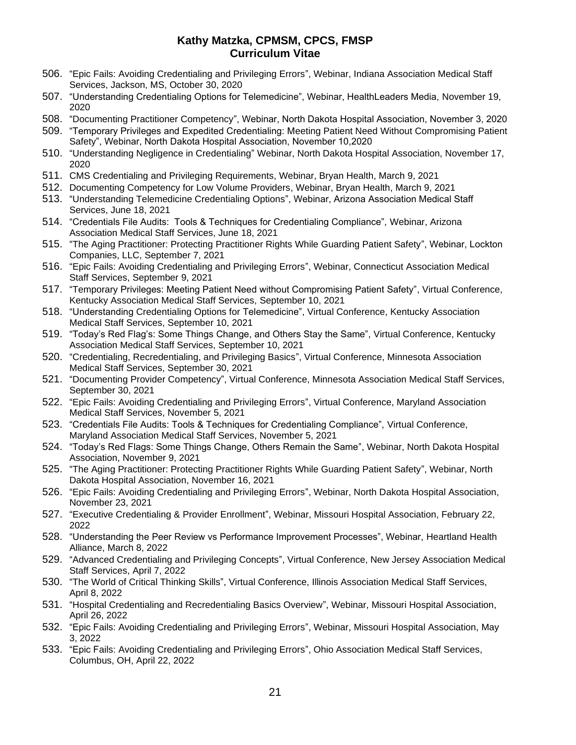- 506. "Epic Fails: Avoiding Credentialing and Privileging Errors", Webinar, Indiana Association Medical Staff Services, Jackson, MS, October 30, 2020
- 507. "Understanding Credentialing Options for Telemedicine", Webinar, HealthLeaders Media, November 19, 2020
- 508. "Documenting Practitioner Competency", Webinar, North Dakota Hospital Association, November 3, 2020
- 509. "Temporary Privileges and Expedited Credentialing: Meeting Patient Need Without Compromising Patient Safety", Webinar, North Dakota Hospital Association, November 10,2020
- 510. "Understanding Negligence in Credentialing" Webinar, North Dakota Hospital Association, November 17, 2020
- 511. CMS Credentialing and Privileging Requirements, Webinar, Bryan Health, March 9, 2021
- 512. Documenting Competency for Low Volume Providers, Webinar, Bryan Health, March 9, 2021
- 513. "Understanding Telemedicine Credentialing Options", Webinar, Arizona Association Medical Staff Services, June 18, 2021
- 514. "Credentials File Audits: Tools & Techniques for Credentialing Compliance", Webinar, Arizona Association Medical Staff Services, June 18, 2021
- 515. "The Aging Practitioner: Protecting Practitioner Rights While Guarding Patient Safety", Webinar, Lockton Companies, LLC, September 7, 2021
- 516. "Epic Fails: Avoiding Credentialing and Privileging Errors", Webinar, Connecticut Association Medical Staff Services, September 9, 2021
- 517. "Temporary Privileges: Meeting Patient Need without Compromising Patient Safety", Virtual Conference, Kentucky Association Medical Staff Services, September 10, 2021
- 518. "Understanding Credentialing Options for Telemedicine", Virtual Conference, Kentucky Association Medical Staff Services, September 10, 2021
- 519. "Today's Red Flag's: Some Things Change, and Others Stay the Same", Virtual Conference, Kentucky Association Medical Staff Services, September 10, 2021
- 520. "Credentialing, Recredentialing, and Privileging Basics", Virtual Conference, Minnesota Association Medical Staff Services, September 30, 2021
- 521. "Documenting Provider Competency", Virtual Conference, Minnesota Association Medical Staff Services, September 30, 2021
- 522. "Epic Fails: Avoiding Credentialing and Privileging Errors", Virtual Conference, Maryland Association Medical Staff Services, November 5, 2021
- 523. "Credentials File Audits: Tools & Techniques for Credentialing Compliance", Virtual Conference, Maryland Association Medical Staff Services, November 5, 2021
- 524. "Today's Red Flags: Some Things Change, Others Remain the Same", Webinar, North Dakota Hospital Association, November 9, 2021
- 525. "The Aging Practitioner: Protecting Practitioner Rights While Guarding Patient Safety", Webinar, North Dakota Hospital Association, November 16, 2021
- 526. "Epic Fails: Avoiding Credentialing and Privileging Errors", Webinar, North Dakota Hospital Association, November 23, 2021
- 527. "Executive Credentialing & Provider Enrollment", Webinar, Missouri Hospital Association, February 22, 2022
- 528. "Understanding the Peer Review vs Performance Improvement Processes", Webinar, Heartland Health Alliance, March 8, 2022
- 529. "Advanced Credentialing and Privileging Concepts", Virtual Conference, New Jersey Association Medical Staff Services, April 7, 2022
- 530. "The World of Critical Thinking Skills", Virtual Conference, Illinois Association Medical Staff Services, April 8, 2022
- 531. "Hospital Credentialing and Recredentialing Basics Overview", Webinar, Missouri Hospital Association, April 26, 2022
- 532. "Epic Fails: Avoiding Credentialing and Privileging Errors", Webinar, Missouri Hospital Association, May 3, 2022
- 533. "Epic Fails: Avoiding Credentialing and Privileging Errors", Ohio Association Medical Staff Services, Columbus, OH, April 22, 2022